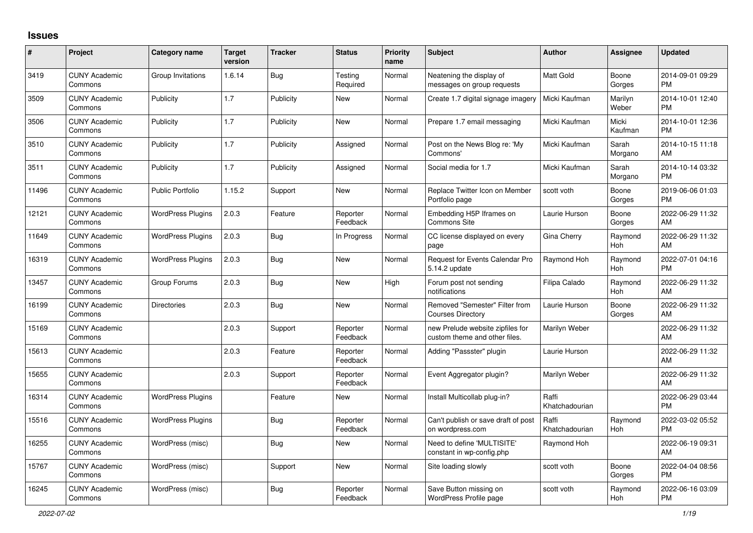## **Issues**

| #     | Project                         | <b>Category name</b>     | <b>Target</b><br>version | <b>Tracker</b> | <b>Status</b>        | <b>Priority</b><br>name | <b>Subject</b>                                                    | <b>Author</b>           | <b>Assignee</b>  | <b>Updated</b>                |
|-------|---------------------------------|--------------------------|--------------------------|----------------|----------------------|-------------------------|-------------------------------------------------------------------|-------------------------|------------------|-------------------------------|
| 3419  | <b>CUNY Academic</b><br>Commons | Group Invitations        | 1.6.14                   | <b>Bug</b>     | Testing<br>Required  | Normal                  | Neatening the display of<br>messages on group requests            | Matt Gold               | Boone<br>Gorges  | 2014-09-01 09:29<br><b>PM</b> |
| 3509  | <b>CUNY Academic</b><br>Commons | Publicity                | 1.7                      | Publicity      | <b>New</b>           | Normal                  | Create 1.7 digital signage imagery                                | Micki Kaufman           | Marilyn<br>Weber | 2014-10-01 12:40<br><b>PM</b> |
| 3506  | <b>CUNY Academic</b><br>Commons | Publicity                | 1.7                      | Publicity      | <b>New</b>           | Normal                  | Prepare 1.7 email messaging                                       | Micki Kaufman           | Micki<br>Kaufman | 2014-10-01 12:36<br><b>PM</b> |
| 3510  | <b>CUNY Academic</b><br>Commons | Publicity                | 1.7                      | Publicity      | Assigned             | Normal                  | Post on the News Blog re: 'My<br>Commons'                         | Micki Kaufman           | Sarah<br>Morgano | 2014-10-15 11:18<br>AM        |
| 3511  | <b>CUNY Academic</b><br>Commons | Publicity                | 1.7                      | Publicity      | Assigned             | Normal                  | Social media for 1.7                                              | Micki Kaufman           | Sarah<br>Morgano | 2014-10-14 03:32<br><b>PM</b> |
| 11496 | <b>CUNY Academic</b><br>Commons | <b>Public Portfolio</b>  | 1.15.2                   | Support        | <b>New</b>           | Normal                  | Replace Twitter Icon on Member<br>Portfolio page                  | scott voth              | Boone<br>Gorges  | 2019-06-06 01:03<br><b>PM</b> |
| 12121 | <b>CUNY Academic</b><br>Commons | <b>WordPress Plugins</b> | 2.0.3                    | Feature        | Reporter<br>Feedback | Normal                  | Embedding H5P Iframes on<br>Commons Site                          | Laurie Hurson           | Boone<br>Gorges  | 2022-06-29 11:32<br><b>AM</b> |
| 11649 | <b>CUNY Academic</b><br>Commons | <b>WordPress Plugins</b> | 2.0.3                    | <b>Bug</b>     | In Progress          | Normal                  | CC license displayed on every<br>page                             | Gina Cherry             | Raymond<br>Hoh   | 2022-06-29 11:32<br>AM        |
| 16319 | <b>CUNY Academic</b><br>Commons | <b>WordPress Plugins</b> | 2.0.3                    | <b>Bug</b>     | <b>New</b>           | Normal                  | Request for Events Calendar Pro<br>5.14.2 update                  | Raymond Hoh             | Raymond<br>Hoh   | 2022-07-01 04:16<br><b>PM</b> |
| 13457 | <b>CUNY Academic</b><br>Commons | Group Forums             | 2.0.3                    | <b>Bug</b>     | New                  | High                    | Forum post not sending<br>notifications                           | Filipa Calado           | Raymond<br>Hoh   | 2022-06-29 11:32<br>AM        |
| 16199 | <b>CUNY Academic</b><br>Commons | Directories              | 2.0.3                    | <b>Bug</b>     | <b>New</b>           | Normal                  | Removed "Semester" Filter from<br><b>Courses Directory</b>        | Laurie Hurson           | Boone<br>Gorges  | 2022-06-29 11:32<br>AM        |
| 15169 | <b>CUNY Academic</b><br>Commons |                          | 2.0.3                    | Support        | Reporter<br>Feedback | Normal                  | new Prelude website zipfiles for<br>custom theme and other files. | Marilyn Weber           |                  | 2022-06-29 11:32<br>AM        |
| 15613 | <b>CUNY Academic</b><br>Commons |                          | 2.0.3                    | Feature        | Reporter<br>Feedback | Normal                  | Adding "Passster" plugin                                          | Laurie Hurson           |                  | 2022-06-29 11:32<br>AM        |
| 15655 | <b>CUNY Academic</b><br>Commons |                          | 2.0.3                    | Support        | Reporter<br>Feedback | Normal                  | Event Aggregator plugin?                                          | Marilyn Weber           |                  | 2022-06-29 11:32<br>AM        |
| 16314 | <b>CUNY Academic</b><br>Commons | <b>WordPress Plugins</b> |                          | Feature        | <b>New</b>           | Normal                  | Install Multicollab plug-in?                                      | Raffi<br>Khatchadourian |                  | 2022-06-29 03:44<br><b>PM</b> |
| 15516 | <b>CUNY Academic</b><br>Commons | <b>WordPress Plugins</b> |                          | <b>Bug</b>     | Reporter<br>Feedback | Normal                  | Can't publish or save draft of post<br>on wordpress.com           | Raffi<br>Khatchadourian | Raymond<br>Hoh   | 2022-03-02 05:52<br><b>PM</b> |
| 16255 | <b>CUNY Academic</b><br>Commons | WordPress (misc)         |                          | <b>Bug</b>     | New                  | Normal                  | Need to define 'MULTISITE'<br>constant in wp-config.php           | Raymond Hoh             |                  | 2022-06-19 09:31<br>AM        |
| 15767 | <b>CUNY Academic</b><br>Commons | WordPress (misc)         |                          | Support        | <b>New</b>           | Normal                  | Site loading slowly                                               | scott voth              | Boone<br>Gorges  | 2022-04-04 08:56<br><b>PM</b> |
| 16245 | <b>CUNY Academic</b><br>Commons | WordPress (misc)         |                          | <b>Bug</b>     | Reporter<br>Feedback | Normal                  | Save Button missing on<br>WordPress Profile page                  | scott voth              | Raymond<br>Hoh   | 2022-06-16 03:09<br><b>PM</b> |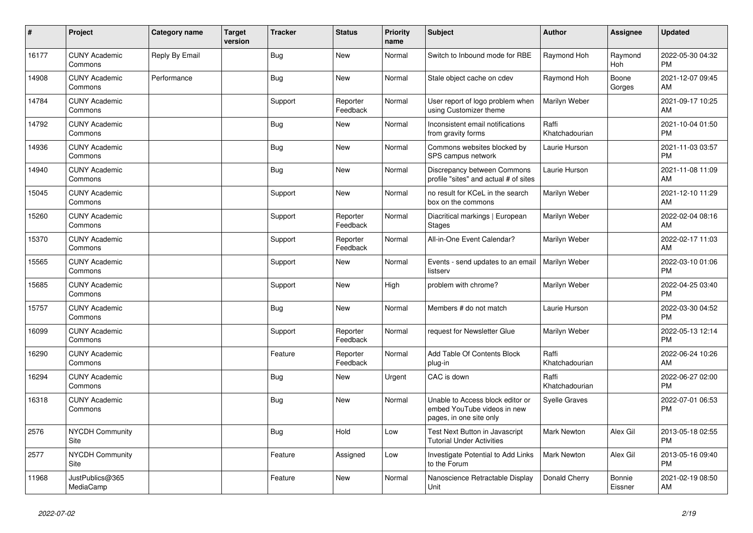| $\vert$ # | Project                         | <b>Category name</b> | <b>Target</b><br>version | <b>Tracker</b> | <b>Status</b>        | <b>Priority</b><br>name | <b>Subject</b>                                                                             | <b>Author</b>           | Assignee          | <b>Updated</b>                |
|-----------|---------------------------------|----------------------|--------------------------|----------------|----------------------|-------------------------|--------------------------------------------------------------------------------------------|-------------------------|-------------------|-------------------------------|
| 16177     | <b>CUNY Academic</b><br>Commons | Reply By Email       |                          | <b>Bug</b>     | <b>New</b>           | Normal                  | Switch to Inbound mode for RBE                                                             | Raymond Hoh             | Raymond<br>Hoh    | 2022-05-30 04:32<br><b>PM</b> |
| 14908     | <b>CUNY Academic</b><br>Commons | Performance          |                          | Bug            | <b>New</b>           | Normal                  | Stale object cache on cdev                                                                 | Raymond Hoh             | Boone<br>Gorges   | 2021-12-07 09:45<br>AM        |
| 14784     | <b>CUNY Academic</b><br>Commons |                      |                          | Support        | Reporter<br>Feedback | Normal                  | User report of logo problem when<br>using Customizer theme                                 | Marilyn Weber           |                   | 2021-09-17 10:25<br>AM        |
| 14792     | <b>CUNY Academic</b><br>Commons |                      |                          | <b>Bug</b>     | <b>New</b>           | Normal                  | Inconsistent email notifications<br>from gravity forms                                     | Raffi<br>Khatchadourian |                   | 2021-10-04 01:50<br><b>PM</b> |
| 14936     | <b>CUNY Academic</b><br>Commons |                      |                          | Bug            | <b>New</b>           | Normal                  | Commons websites blocked by<br>SPS campus network                                          | Laurie Hurson           |                   | 2021-11-03 03:57<br><b>PM</b> |
| 14940     | <b>CUNY Academic</b><br>Commons |                      |                          | <b>Bug</b>     | New                  | Normal                  | Discrepancy between Commons<br>profile "sites" and actual # of sites                       | Laurie Hurson           |                   | 2021-11-08 11:09<br>AM        |
| 15045     | <b>CUNY Academic</b><br>Commons |                      |                          | Support        | <b>New</b>           | Normal                  | no result for KCeL in the search<br>box on the commons                                     | Marilyn Weber           |                   | 2021-12-10 11:29<br>AM        |
| 15260     | <b>CUNY Academic</b><br>Commons |                      |                          | Support        | Reporter<br>Feedback | Normal                  | Diacritical markings   European<br><b>Stages</b>                                           | Marilyn Weber           |                   | 2022-02-04 08:16<br>AM        |
| 15370     | <b>CUNY Academic</b><br>Commons |                      |                          | Support        | Reporter<br>Feedback | Normal                  | All-in-One Event Calendar?                                                                 | Marilyn Weber           |                   | 2022-02-17 11:03<br>AM        |
| 15565     | <b>CUNY Academic</b><br>Commons |                      |                          | Support        | <b>New</b>           | Normal                  | Events - send updates to an email<br>listserv                                              | Marilyn Weber           |                   | 2022-03-10 01:06<br><b>PM</b> |
| 15685     | <b>CUNY Academic</b><br>Commons |                      |                          | Support        | <b>New</b>           | High                    | problem with chrome?                                                                       | Marilyn Weber           |                   | 2022-04-25 03:40<br><b>PM</b> |
| 15757     | <b>CUNY Academic</b><br>Commons |                      |                          | Bug            | New                  | Normal                  | Members # do not match                                                                     | Laurie Hurson           |                   | 2022-03-30 04:52<br><b>PM</b> |
| 16099     | <b>CUNY Academic</b><br>Commons |                      |                          | Support        | Reporter<br>Feedback | Normal                  | request for Newsletter Glue                                                                | Marilyn Weber           |                   | 2022-05-13 12:14<br><b>PM</b> |
| 16290     | <b>CUNY Academic</b><br>Commons |                      |                          | Feature        | Reporter<br>Feedback | Normal                  | Add Table Of Contents Block<br>plug-in                                                     | Raffi<br>Khatchadourian |                   | 2022-06-24 10:26<br>AM        |
| 16294     | <b>CUNY Academic</b><br>Commons |                      |                          | Bug            | New                  | Urgent                  | CAC is down                                                                                | Raffi<br>Khatchadourian |                   | 2022-06-27 02:00<br><b>PM</b> |
| 16318     | <b>CUNY Academic</b><br>Commons |                      |                          | <b>Bug</b>     | <b>New</b>           | Normal                  | Unable to Access block editor or<br>embed YouTube videos in new<br>pages, in one site only | <b>Syelle Graves</b>    |                   | 2022-07-01 06:53<br><b>PM</b> |
| 2576      | <b>NYCDH Community</b><br>Site  |                      |                          | Bug            | Hold                 | Low                     | Test Next Button in Javascript<br><b>Tutorial Under Activities</b>                         | Mark Newton             | Alex Gil          | 2013-05-18 02:55<br><b>PM</b> |
| 2577      | NYCDH Community<br>Site         |                      |                          | Feature        | Assigned             | Low                     | Investigate Potential to Add Links<br>to the Forum                                         | <b>Mark Newton</b>      | Alex Gil          | 2013-05-16 09:40<br><b>PM</b> |
| 11968     | JustPublics@365<br>MediaCamp    |                      |                          | Feature        | <b>New</b>           | Normal                  | Nanoscience Retractable Display<br>Unit                                                    | Donald Cherry           | Bonnie<br>Eissner | 2021-02-19 08:50<br>AM        |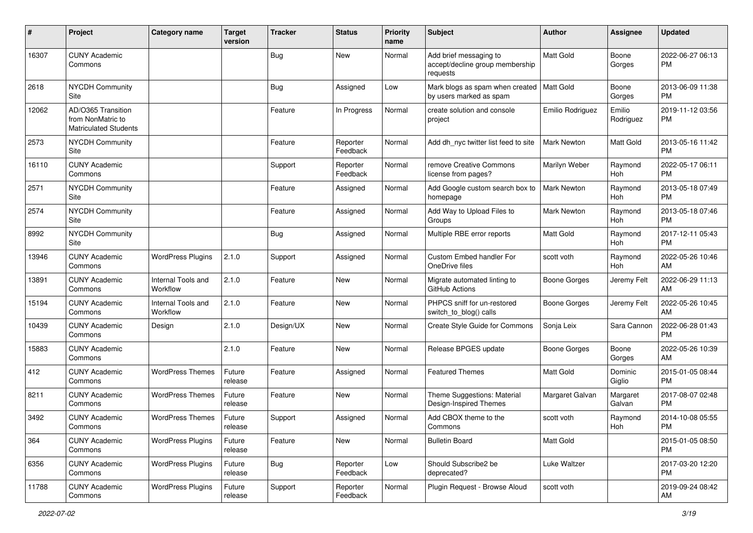| $\#$  | Project                                                                 | <b>Category name</b>           | <b>Target</b><br>version | <b>Tracker</b> | <b>Status</b>        | <b>Priority</b><br>name | <b>Subject</b>                                                        | Author              | <b>Assignee</b>       | <b>Updated</b>                |
|-------|-------------------------------------------------------------------------|--------------------------------|--------------------------|----------------|----------------------|-------------------------|-----------------------------------------------------------------------|---------------------|-----------------------|-------------------------------|
| 16307 | <b>CUNY Academic</b><br>Commons                                         |                                |                          | <b>Bug</b>     | <b>New</b>           | Normal                  | Add brief messaging to<br>accept/decline group membership<br>requests | Matt Gold           | Boone<br>Gorges       | 2022-06-27 06:13<br><b>PM</b> |
| 2618  | <b>NYCDH Community</b><br>Site                                          |                                |                          | <b>Bug</b>     | Assigned             | Low                     | Mark blogs as spam when created<br>by users marked as spam            | Matt Gold           | Boone<br>Gorges       | 2013-06-09 11:38<br>PM.       |
| 12062 | AD/O365 Transition<br>from NonMatric to<br><b>Matriculated Students</b> |                                |                          | Feature        | In Progress          | Normal                  | create solution and console<br>project                                | Emilio Rodriguez    | Emilio<br>Rodriguez   | 2019-11-12 03:56<br><b>PM</b> |
| 2573  | <b>NYCDH Community</b><br>Site                                          |                                |                          | Feature        | Reporter<br>Feedback | Normal                  | Add dh nyc twitter list feed to site                                  | <b>Mark Newton</b>  | Matt Gold             | 2013-05-16 11:42<br><b>PM</b> |
| 16110 | <b>CUNY Academic</b><br>Commons                                         |                                |                          | Support        | Reporter<br>Feedback | Normal                  | remove Creative Commons<br>license from pages?                        | Marilyn Weber       | Raymond<br>Hoh        | 2022-05-17 06:11<br><b>PM</b> |
| 2571  | NYCDH Community<br>Site                                                 |                                |                          | Feature        | Assigned             | Normal                  | Add Google custom search box to<br>homepage                           | <b>Mark Newton</b>  | Raymond<br>Hoh        | 2013-05-18 07:49<br><b>PM</b> |
| 2574  | <b>NYCDH Community</b><br>Site                                          |                                |                          | Feature        | Assigned             | Normal                  | Add Way to Upload Files to<br>Groups                                  | <b>Mark Newton</b>  | Raymond<br><b>Hoh</b> | 2013-05-18 07:46<br><b>PM</b> |
| 8992  | NYCDH Community<br>Site                                                 |                                |                          | Bug            | Assigned             | Normal                  | Multiple RBE error reports                                            | Matt Gold           | Raymond<br>Hoh        | 2017-12-11 05:43<br><b>PM</b> |
| 13946 | <b>CUNY Academic</b><br>Commons                                         | <b>WordPress Plugins</b>       | 2.1.0                    | Support        | Assigned             | Normal                  | Custom Embed handler For<br>OneDrive files                            | scott voth          | Raymond<br>Hoh        | 2022-05-26 10:46<br>AM        |
| 13891 | <b>CUNY Academic</b><br>Commons                                         | Internal Tools and<br>Workflow | 2.1.0                    | Feature        | New                  | Normal                  | Migrate automated linting to<br>GitHub Actions                        | <b>Boone Gorges</b> | Jeremy Felt           | 2022-06-29 11:13<br>AM        |
| 15194 | <b>CUNY Academic</b><br>Commons                                         | Internal Tools and<br>Workflow | 2.1.0                    | Feature        | <b>New</b>           | Normal                  | PHPCS sniff for un-restored<br>switch_to_blog() calls                 | Boone Gorges        | Jeremy Felt           | 2022-05-26 10:45<br>AM        |
| 10439 | <b>CUNY Academic</b><br>Commons                                         | Design                         | 2.1.0                    | Design/UX      | <b>New</b>           | Normal                  | Create Style Guide for Commons                                        | Sonja Leix          | Sara Cannon           | 2022-06-28 01:43<br><b>PM</b> |
| 15883 | <b>CUNY Academic</b><br>Commons                                         |                                | 2.1.0                    | Feature        | <b>New</b>           | Normal                  | Release BPGES update                                                  | <b>Boone Gorges</b> | Boone<br>Gorges       | 2022-05-26 10:39<br>AM        |
| 412   | <b>CUNY Academic</b><br>Commons                                         | <b>WordPress Themes</b>        | Future<br>release        | Feature        | Assigned             | Normal                  | <b>Featured Themes</b>                                                | <b>Matt Gold</b>    | Dominic<br>Giglio     | 2015-01-05 08:44<br><b>PM</b> |
| 8211  | <b>CUNY Academic</b><br>Commons                                         | <b>WordPress Themes</b>        | Future<br>release        | Feature        | New                  | Normal                  | Theme Suggestions: Material<br>Design-Inspired Themes                 | Margaret Galvan     | Margaret<br>Galvan    | 2017-08-07 02:48<br><b>PM</b> |
| 3492  | <b>CUNY Academic</b><br>Commons                                         | <b>WordPress Themes</b>        | Future<br>release        | Support        | Assigned             | Normal                  | Add CBOX theme to the<br>Commons                                      | scott voth          | Raymond<br>Hoh        | 2014-10-08 05:55<br>PM        |
| 364   | <b>CUNY Academic</b><br>Commons                                         | <b>WordPress Plugins</b>       | Future<br>release        | Feature        | New                  | Normal                  | <b>Bulletin Board</b>                                                 | Matt Gold           |                       | 2015-01-05 08:50<br>PM.       |
| 6356  | <b>CUNY Academic</b><br>Commons                                         | <b>WordPress Plugins</b>       | Future<br>release        | <b>Bug</b>     | Reporter<br>Feedback | Low                     | Should Subscribe2 be<br>deprecated?                                   | Luke Waltzer        |                       | 2017-03-20 12:20<br><b>PM</b> |
| 11788 | <b>CUNY Academic</b><br>Commons                                         | <b>WordPress Plugins</b>       | Future<br>release        | Support        | Reporter<br>Feedback | Normal                  | Plugin Request - Browse Aloud                                         | scott voth          |                       | 2019-09-24 08:42<br>AM        |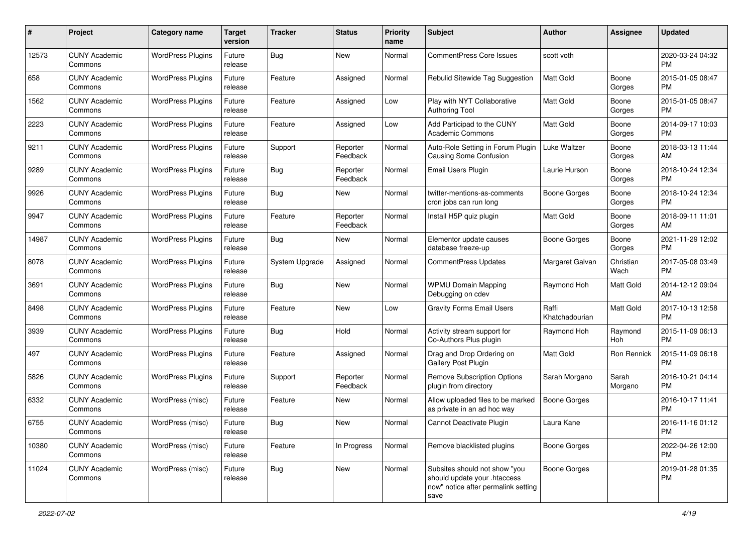| #     | Project                         | <b>Category name</b>     | <b>Target</b><br>version | Tracker        | <b>Status</b>        | <b>Priority</b><br>name | <b>Subject</b>                                                                                               | <b>Author</b>           | <b>Assignee</b>   | <b>Updated</b>                |
|-------|---------------------------------|--------------------------|--------------------------|----------------|----------------------|-------------------------|--------------------------------------------------------------------------------------------------------------|-------------------------|-------------------|-------------------------------|
| 12573 | <b>CUNY Academic</b><br>Commons | <b>WordPress Plugins</b> | Future<br>release        | <b>Bug</b>     | <b>New</b>           | Normal                  | <b>CommentPress Core Issues</b>                                                                              | scott voth              |                   | 2020-03-24 04:32<br><b>PM</b> |
| 658   | <b>CUNY Academic</b><br>Commons | <b>WordPress Plugins</b> | Future<br>release        | Feature        | Assigned             | Normal                  | Rebulid Sitewide Tag Suggestion                                                                              | <b>Matt Gold</b>        | Boone<br>Gorges   | 2015-01-05 08:47<br><b>PM</b> |
| 1562  | <b>CUNY Academic</b><br>Commons | <b>WordPress Plugins</b> | Future<br>release        | Feature        | Assigned             | Low                     | Play with NYT Collaborative<br><b>Authoring Tool</b>                                                         | Matt Gold               | Boone<br>Gorges   | 2015-01-05 08:47<br><b>PM</b> |
| 2223  | <b>CUNY Academic</b><br>Commons | <b>WordPress Plugins</b> | Future<br>release        | Feature        | Assigned             | Low                     | Add Participad to the CUNY<br><b>Academic Commons</b>                                                        | Matt Gold               | Boone<br>Gorges   | 2014-09-17 10:03<br><b>PM</b> |
| 9211  | <b>CUNY Academic</b><br>Commons | <b>WordPress Plugins</b> | Future<br>release        | Support        | Reporter<br>Feedback | Normal                  | Auto-Role Setting in Forum Plugin<br><b>Causing Some Confusion</b>                                           | Luke Waltzer            | Boone<br>Gorges   | 2018-03-13 11:44<br>AM        |
| 9289  | <b>CUNY Academic</b><br>Commons | <b>WordPress Plugins</b> | Future<br>release        | Bug            | Reporter<br>Feedback | Normal                  | Email Users Plugin                                                                                           | Laurie Hurson           | Boone<br>Gorges   | 2018-10-24 12:34<br><b>PM</b> |
| 9926  | <b>CUNY Academic</b><br>Commons | <b>WordPress Plugins</b> | Future<br>release        | <b>Bug</b>     | New                  | Normal                  | twitter-mentions-as-comments<br>cron jobs can run long                                                       | Boone Gorges            | Boone<br>Gorges   | 2018-10-24 12:34<br><b>PM</b> |
| 9947  | <b>CUNY Academic</b><br>Commons | <b>WordPress Plugins</b> | Future<br>release        | Feature        | Reporter<br>Feedback | Normal                  | Install H5P quiz plugin                                                                                      | Matt Gold               | Boone<br>Gorges   | 2018-09-11 11:01<br>AM        |
| 14987 | <b>CUNY Academic</b><br>Commons | <b>WordPress Plugins</b> | Future<br>release        | Bug            | New                  | Normal                  | Elementor update causes<br>database freeze-up                                                                | <b>Boone Gorges</b>     | Boone<br>Gorges   | 2021-11-29 12:02<br><b>PM</b> |
| 8078  | <b>CUNY Academic</b><br>Commons | <b>WordPress Plugins</b> | Future<br>release        | System Upgrade | Assigned             | Normal                  | <b>CommentPress Updates</b>                                                                                  | Margaret Galvan         | Christian<br>Wach | 2017-05-08 03:49<br><b>PM</b> |
| 3691  | <b>CUNY Academic</b><br>Commons | <b>WordPress Plugins</b> | Future<br>release        | Bug            | <b>New</b>           | Normal                  | <b>WPMU Domain Mapping</b><br>Debugging on cdev                                                              | Raymond Hoh             | Matt Gold         | 2014-12-12 09:04<br>AM        |
| 8498  | <b>CUNY Academic</b><br>Commons | <b>WordPress Plugins</b> | Future<br>release        | Feature        | <b>New</b>           | Low                     | <b>Gravity Forms Email Users</b>                                                                             | Raffi<br>Khatchadourian | Matt Gold         | 2017-10-13 12:58<br><b>PM</b> |
| 3939  | <b>CUNY Academic</b><br>Commons | <b>WordPress Plugins</b> | Future<br>release        | Bug            | Hold                 | Normal                  | Activity stream support for<br>Co-Authors Plus plugin                                                        | Raymond Hoh             | Raymond<br>Hoh    | 2015-11-09 06:13<br><b>PM</b> |
| 497   | <b>CUNY Academic</b><br>Commons | <b>WordPress Plugins</b> | Future<br>release        | Feature        | Assigned             | Normal                  | Drag and Drop Ordering on<br><b>Gallery Post Plugin</b>                                                      | Matt Gold               | Ron Rennick       | 2015-11-09 06:18<br><b>PM</b> |
| 5826  | <b>CUNY Academic</b><br>Commons | <b>WordPress Plugins</b> | Future<br>release        | Support        | Reporter<br>Feedback | Normal                  | <b>Remove Subscription Options</b><br>plugin from directory                                                  | Sarah Morgano           | Sarah<br>Morgano  | 2016-10-21 04:14<br><b>PM</b> |
| 6332  | <b>CUNY Academic</b><br>Commons | WordPress (misc)         | Future<br>release        | Feature        | New                  | Normal                  | Allow uploaded files to be marked<br>as private in an ad hoc way                                             | Boone Gorges            |                   | 2016-10-17 11:41<br><b>PM</b> |
| 6755  | <b>CUNY Academic</b><br>Commons | WordPress (misc)         | Future<br>release        | Bug            | New                  | Normal                  | Cannot Deactivate Plugin                                                                                     | Laura Kane              |                   | 2016-11-16 01:12<br>PM        |
| 10380 | <b>CUNY Academic</b><br>Commons | WordPress (misc)         | Future<br>release        | Feature        | In Progress          | Normal                  | Remove blacklisted plugins                                                                                   | Boone Gorges            |                   | 2022-04-26 12:00<br><b>PM</b> |
| 11024 | <b>CUNY Academic</b><br>Commons | WordPress (misc)         | Future<br>release        | <b>Bug</b>     | New                  | Normal                  | Subsites should not show "you<br>should update your .htaccess<br>now" notice after permalink setting<br>save | Boone Gorges            |                   | 2019-01-28 01:35<br><b>PM</b> |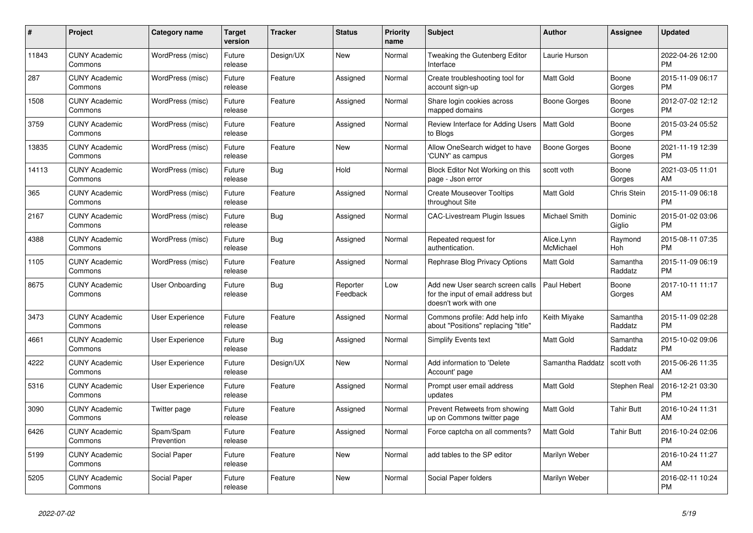| #     | Project                         | <b>Category name</b>    | Target<br>version | <b>Tracker</b> | <b>Status</b>        | <b>Priority</b><br>name | <b>Subject</b>                                                                                  | <b>Author</b>           | Assignee            | <b>Updated</b>                |
|-------|---------------------------------|-------------------------|-------------------|----------------|----------------------|-------------------------|-------------------------------------------------------------------------------------------------|-------------------------|---------------------|-------------------------------|
| 11843 | <b>CUNY Academic</b><br>Commons | WordPress (misc)        | Future<br>release | Design/UX      | New                  | Normal                  | Tweaking the Gutenberg Editor<br>Interface                                                      | Laurie Hurson           |                     | 2022-04-26 12:00<br><b>PM</b> |
| 287   | <b>CUNY Academic</b><br>Commons | WordPress (misc)        | Future<br>release | Feature        | Assigned             | Normal                  | Create troubleshooting tool for<br>account sign-up                                              | Matt Gold               | Boone<br>Gorges     | 2015-11-09 06:17<br><b>PM</b> |
| 1508  | <b>CUNY Academic</b><br>Commons | WordPress (misc)        | Future<br>release | Feature        | Assigned             | Normal                  | Share login cookies across<br>mapped domains                                                    | Boone Gorges            | Boone<br>Gorges     | 2012-07-02 12:12<br><b>PM</b> |
| 3759  | <b>CUNY Academic</b><br>Commons | WordPress (misc)        | Future<br>release | Feature        | Assigned             | Normal                  | Review Interface for Adding Users<br>to Blogs                                                   | <b>Matt Gold</b>        | Boone<br>Gorges     | 2015-03-24 05:52<br><b>PM</b> |
| 13835 | <b>CUNY Academic</b><br>Commons | WordPress (misc)        | Future<br>release | Feature        | New                  | Normal                  | Allow OneSearch widget to have<br>'CUNY' as campus                                              | <b>Boone Gorges</b>     | Boone<br>Gorges     | 2021-11-19 12:39<br><b>PM</b> |
| 14113 | <b>CUNY Academic</b><br>Commons | WordPress (misc)        | Future<br>release | <b>Bug</b>     | Hold                 | Normal                  | Block Editor Not Working on this<br>page - Json error                                           | scott voth              | Boone<br>Gorges     | 2021-03-05 11:01<br>AM        |
| 365   | <b>CUNY Academic</b><br>Commons | WordPress (misc)        | Future<br>release | Feature        | Assigned             | Normal                  | <b>Create Mouseover Tooltips</b><br>throughout Site                                             | Matt Gold               | Chris Stein         | 2015-11-09 06:18<br><b>PM</b> |
| 2167  | <b>CUNY Academic</b><br>Commons | WordPress (misc)        | Future<br>release | Bug            | Assigned             | Normal                  | <b>CAC-Livestream Plugin Issues</b>                                                             | Michael Smith           | Dominic<br>Giglio   | 2015-01-02 03:06<br><b>PM</b> |
| 4388  | <b>CUNY Academic</b><br>Commons | WordPress (misc)        | Future<br>release | Bug            | Assigned             | Normal                  | Repeated request for<br>authentication.                                                         | Alice.Lynn<br>McMichael | Raymond<br>Hoh      | 2015-08-11 07:35<br><b>PM</b> |
| 1105  | <b>CUNY Academic</b><br>Commons | WordPress (misc)        | Future<br>release | Feature        | Assigned             | Normal                  | Rephrase Blog Privacy Options                                                                   | <b>Matt Gold</b>        | Samantha<br>Raddatz | 2015-11-09 06:19<br><b>PM</b> |
| 8675  | <b>CUNY Academic</b><br>Commons | User Onboarding         | Future<br>release | Bug            | Reporter<br>Feedback | Low                     | Add new User search screen calls<br>for the input of email address but<br>doesn't work with one | Paul Hebert             | Boone<br>Gorges     | 2017-10-11 11:17<br>AM        |
| 3473  | <b>CUNY Academic</b><br>Commons | User Experience         | Future<br>release | Feature        | Assigned             | Normal                  | Commons profile: Add help info<br>about "Positions" replacing "title"                           | Keith Miyake            | Samantha<br>Raddatz | 2015-11-09 02:28<br><b>PM</b> |
| 4661  | <b>CUNY Academic</b><br>Commons | <b>User Experience</b>  | Future<br>release | Bug            | Assigned             | Normal                  | <b>Simplify Events text</b>                                                                     | Matt Gold               | Samantha<br>Raddatz | 2015-10-02 09:06<br><b>PM</b> |
| 4222  | <b>CUNY Academic</b><br>Commons | User Experience         | Future<br>release | Design/UX      | New                  | Normal                  | Add information to 'Delete<br>Account' page                                                     | Samantha Raddatz        | scott voth          | 2015-06-26 11:35<br>AM        |
| 5316  | <b>CUNY Academic</b><br>Commons | User Experience         | Future<br>release | Feature        | Assigned             | Normal                  | Prompt user email address<br>updates                                                            | <b>Matt Gold</b>        | Stephen Real        | 2016-12-21 03:30<br><b>PM</b> |
| 3090  | <b>CUNY Academic</b><br>Commons | Twitter page            | Future<br>release | Feature        | Assigned             | Normal                  | Prevent Retweets from showing<br>up on Commons twitter page                                     | Matt Gold               | <b>Tahir Butt</b>   | 2016-10-24 11:31<br>AM        |
| 6426  | <b>CUNY Academic</b><br>Commons | Spam/Spam<br>Prevention | Future<br>release | Feature        | Assigned             | Normal                  | Force captcha on all comments?                                                                  | Matt Gold               | <b>Tahir Butt</b>   | 2016-10-24 02:06<br><b>PM</b> |
| 5199  | <b>CUNY Academic</b><br>Commons | Social Paper            | Future<br>release | Feature        | New                  | Normal                  | add tables to the SP editor                                                                     | Marilyn Weber           |                     | 2016-10-24 11:27<br>AM        |
| 5205  | <b>CUNY Academic</b><br>Commons | Social Paper            | Future<br>release | Feature        | <b>New</b>           | Normal                  | Social Paper folders                                                                            | Marilyn Weber           |                     | 2016-02-11 10:24<br><b>PM</b> |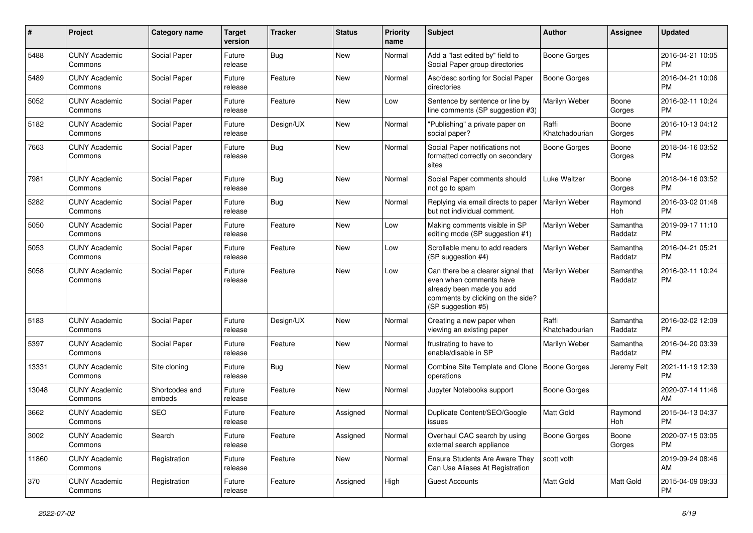| #     | Project                         | <b>Category name</b>     | <b>Target</b><br>version | <b>Tracker</b> | <b>Status</b> | <b>Priority</b><br>name | <b>Subject</b>                                                                                                                                        | Author                  | <b>Assignee</b>     | <b>Updated</b>                |
|-------|---------------------------------|--------------------------|--------------------------|----------------|---------------|-------------------------|-------------------------------------------------------------------------------------------------------------------------------------------------------|-------------------------|---------------------|-------------------------------|
| 5488  | <b>CUNY Academic</b><br>Commons | Social Paper             | Future<br>release        | Bug            | <b>New</b>    | Normal                  | Add a "last edited by" field to<br>Social Paper group directories                                                                                     | <b>Boone Gorges</b>     |                     | 2016-04-21 10:05<br><b>PM</b> |
| 5489  | <b>CUNY Academic</b><br>Commons | Social Paper             | Future<br>release        | Feature        | New           | Normal                  | Asc/desc sorting for Social Paper<br>directories                                                                                                      | <b>Boone Gorges</b>     |                     | 2016-04-21 10:06<br><b>PM</b> |
| 5052  | <b>CUNY Academic</b><br>Commons | Social Paper             | Future<br>release        | Feature        | <b>New</b>    | Low                     | Sentence by sentence or line by<br>line comments (SP suggestion #3)                                                                                   | Marilyn Weber           | Boone<br>Gorges     | 2016-02-11 10:24<br><b>PM</b> |
| 5182  | <b>CUNY Academic</b><br>Commons | Social Paper             | Future<br>release        | Design/UX      | <b>New</b>    | Normal                  | "Publishing" a private paper on<br>social paper?                                                                                                      | Raffi<br>Khatchadourian | Boone<br>Gorges     | 2016-10-13 04:12<br><b>PM</b> |
| 7663  | <b>CUNY Academic</b><br>Commons | Social Paper             | Future<br>release        | Bug            | <b>New</b>    | Normal                  | Social Paper notifications not<br>formatted correctly on secondary<br>sites                                                                           | Boone Gorges            | Boone<br>Gorges     | 2018-04-16 03:52<br><b>PM</b> |
| 7981  | <b>CUNY Academic</b><br>Commons | Social Paper             | Future<br>release        | <b>Bug</b>     | <b>New</b>    | Normal                  | Social Paper comments should<br>not go to spam                                                                                                        | Luke Waltzer            | Boone<br>Gorges     | 2018-04-16 03:52<br><b>PM</b> |
| 5282  | <b>CUNY Academic</b><br>Commons | Social Paper             | Future<br>release        | Bug            | New           | Normal                  | Replying via email directs to paper<br>but not individual comment.                                                                                    | Marilyn Weber           | Raymond<br>Hoh      | 2016-03-02 01:48<br><b>PM</b> |
| 5050  | <b>CUNY Academic</b><br>Commons | Social Paper             | Future<br>release        | Feature        | <b>New</b>    | Low                     | Making comments visible in SP<br>editing mode (SP suggestion #1)                                                                                      | Marilyn Weber           | Samantha<br>Raddatz | 2019-09-17 11:10<br><b>PM</b> |
| 5053  | <b>CUNY Academic</b><br>Commons | Social Paper             | Future<br>release        | Feature        | <b>New</b>    | Low                     | Scrollable menu to add readers<br>(SP suggestion #4)                                                                                                  | Marilyn Weber           | Samantha<br>Raddatz | 2016-04-21 05:21<br><b>PM</b> |
| 5058  | <b>CUNY Academic</b><br>Commons | Social Paper             | Future<br>release        | Feature        | New           | Low                     | Can there be a clearer signal that<br>even when comments have<br>already been made you add<br>comments by clicking on the side?<br>(SP suggestion #5) | <b>Marilyn Weber</b>    | Samantha<br>Raddatz | 2016-02-11 10:24<br><b>PM</b> |
| 5183  | <b>CUNY Academic</b><br>Commons | Social Paper             | Future<br>release        | Design/UX      | <b>New</b>    | Normal                  | Creating a new paper when<br>viewing an existing paper                                                                                                | Raffi<br>Khatchadourian | Samantha<br>Raddatz | 2016-02-02 12:09<br><b>PM</b> |
| 5397  | <b>CUNY Academic</b><br>Commons | Social Paper             | Future<br>release        | Feature        | <b>New</b>    | Normal                  | frustrating to have to<br>enable/disable in SP                                                                                                        | Marilyn Weber           | Samantha<br>Raddatz | 2016-04-20 03:39<br><b>PM</b> |
| 13331 | <b>CUNY Academic</b><br>Commons | Site cloning             | Future<br>release        | Bug            | <b>New</b>    | Normal                  | Combine Site Template and Clone<br>operations                                                                                                         | Boone Gorges            | Jeremy Felt         | 2021-11-19 12:39<br><b>PM</b> |
| 13048 | <b>CUNY Academic</b><br>Commons | Shortcodes and<br>embeds | Future<br>release        | Feature        | New           | Normal                  | Jupyter Notebooks support                                                                                                                             | Boone Gorges            |                     | 2020-07-14 11:46<br>AM        |
| 3662  | <b>CUNY Academic</b><br>Commons | <b>SEO</b>               | Future<br>release        | Feature        | Assigned      | Normal                  | Duplicate Content/SEO/Google<br>issues                                                                                                                | Matt Gold               | Raymond<br>Hoh      | 2015-04-13 04:37<br>PM        |
| 3002  | <b>CUNY Academic</b><br>Commons | Search                   | Future<br>release        | Feature        | Assigned      | Normal                  | Overhaul CAC search by using<br>external search appliance                                                                                             | <b>Boone Gorges</b>     | Boone<br>Gorges     | 2020-07-15 03:05<br>PM.       |
| 11860 | <b>CUNY Academic</b><br>Commons | Registration             | Future<br>release        | Feature        | New           | Normal                  | <b>Ensure Students Are Aware They</b><br>Can Use Aliases At Registration                                                                              | scott voth              |                     | 2019-09-24 08:46<br>AM        |
| 370   | <b>CUNY Academic</b><br>Commons | Registration             | Future<br>release        | Feature        | Assigned      | High                    | <b>Guest Accounts</b>                                                                                                                                 | Matt Gold               | Matt Gold           | 2015-04-09 09:33<br><b>PM</b> |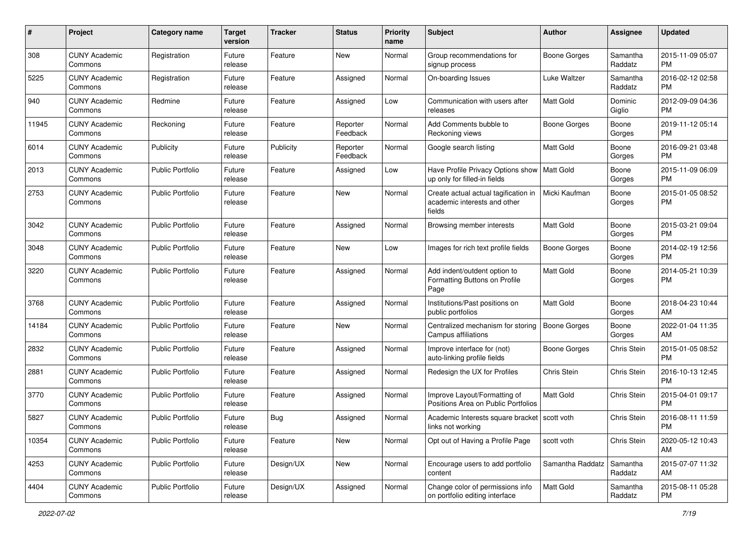| #     | Project                         | <b>Category name</b>    | <b>Target</b><br>version | <b>Tracker</b> | <b>Status</b>        | Priority<br>name | <b>Subject</b>                                                                 | Author              | <b>Assignee</b>     | <b>Updated</b>                |
|-------|---------------------------------|-------------------------|--------------------------|----------------|----------------------|------------------|--------------------------------------------------------------------------------|---------------------|---------------------|-------------------------------|
| 308   | <b>CUNY Academic</b><br>Commons | Registration            | Future<br>release        | Feature        | New                  | Normal           | Group recommendations for<br>signup process                                    | Boone Gorges        | Samantha<br>Raddatz | 2015-11-09 05:07<br><b>PM</b> |
| 5225  | <b>CUNY Academic</b><br>Commons | Registration            | Future<br>release        | Feature        | Assigned             | Normal           | On-boarding Issues                                                             | Luke Waltzer        | Samantha<br>Raddatz | 2016-02-12 02:58<br><b>PM</b> |
| 940   | CUNY Academic<br>Commons        | Redmine                 | Future<br>release        | Feature        | Assigned             | Low              | Communication with users after<br>releases                                     | Matt Gold           | Dominic<br>Giglio   | 2012-09-09 04:36<br><b>PM</b> |
| 11945 | <b>CUNY Academic</b><br>Commons | Reckoning               | Future<br>release        | Feature        | Reporter<br>Feedback | Normal           | Add Comments bubble to<br>Reckoning views                                      | <b>Boone Gorges</b> | Boone<br>Gorges     | 2019-11-12 05:14<br><b>PM</b> |
| 6014  | CUNY Academic<br>Commons        | Publicity               | Future<br>release        | Publicity      | Reporter<br>Feedback | Normal           | Google search listing                                                          | <b>Matt Gold</b>    | Boone<br>Gorges     | 2016-09-21 03:48<br><b>PM</b> |
| 2013  | <b>CUNY Academic</b><br>Commons | <b>Public Portfolio</b> | Future<br>release        | Feature        | Assigned             | Low              | Have Profile Privacy Options show   Matt Gold<br>up only for filled-in fields  |                     | Boone<br>Gorges     | 2015-11-09 06:09<br><b>PM</b> |
| 2753  | <b>CUNY Academic</b><br>Commons | <b>Public Portfolio</b> | Future<br>release        | Feature        | New                  | Normal           | Create actual actual tagification in<br>academic interests and other<br>fields | Micki Kaufman       | Boone<br>Gorges     | 2015-01-05 08:52<br><b>PM</b> |
| 3042  | CUNY Academic<br>Commons        | <b>Public Portfolio</b> | Future<br>release        | Feature        | Assigned             | Normal           | Browsing member interests                                                      | Matt Gold           | Boone<br>Gorges     | 2015-03-21 09:04<br><b>PM</b> |
| 3048  | <b>CUNY Academic</b><br>Commons | <b>Public Portfolio</b> | Future<br>release        | Feature        | New                  | Low              | Images for rich text profile fields                                            | Boone Gorges        | Boone<br>Gorges     | 2014-02-19 12:56<br><b>PM</b> |
| 3220  | CUNY Academic<br>Commons        | <b>Public Portfolio</b> | Future<br>release        | Feature        | Assigned             | Normal           | Add indent/outdent option to<br>Formatting Buttons on Profile<br>Page          | <b>Matt Gold</b>    | Boone<br>Gorges     | 2014-05-21 10:39<br><b>PM</b> |
| 3768  | <b>CUNY Academic</b><br>Commons | <b>Public Portfolio</b> | Future<br>release        | Feature        | Assigned             | Normal           | Institutions/Past positions on<br>public portfolios                            | <b>Matt Gold</b>    | Boone<br>Gorges     | 2018-04-23 10:44<br>AM        |
| 14184 | <b>CUNY Academic</b><br>Commons | <b>Public Portfolio</b> | Future<br>release        | Feature        | New                  | Normal           | Centralized mechanism for storing<br>Campus affiliations                       | <b>Boone Gorges</b> | Boone<br>Gorges     | 2022-01-04 11:35<br>AM        |
| 2832  | CUNY Academic<br>Commons        | Public Portfolio        | Future<br>release        | Feature        | Assigned             | Normal           | Improve interface for (not)<br>auto-linking profile fields                     | Boone Gorges        | Chris Stein         | 2015-01-05 08:52<br><b>PM</b> |
| 2881  | <b>CUNY Academic</b><br>Commons | <b>Public Portfolio</b> | Future<br>release        | Feature        | Assigned             | Normal           | Redesign the UX for Profiles                                                   | Chris Stein         | Chris Stein         | 2016-10-13 12:45<br><b>PM</b> |
| 3770  | <b>CUNY Academic</b><br>Commons | Public Portfolio        | Future<br>release        | Feature        | Assigned             | Normal           | Improve Layout/Formatting of<br>Positions Area on Public Portfolios            | Matt Gold           | Chris Stein         | 2015-04-01 09:17<br><b>PM</b> |
| 5827  | <b>CUNY Academic</b><br>Commons | Public Portfolio        | Future<br>release        | Bug            | Assigned             | Normal           | Academic Interests square bracket   scott voth<br>links not working            |                     | Chris Stein         | 2016-08-11 11:59<br>PM        |
| 10354 | <b>CUNY Academic</b><br>Commons | Public Portfolio        | Future<br>release        | Feature        | New                  | Normal           | Opt out of Having a Profile Page                                               | scott voth          | Chris Stein         | 2020-05-12 10:43<br>AM        |
| 4253  | <b>CUNY Academic</b><br>Commons | <b>Public Portfolio</b> | Future<br>release        | Design/UX      | New                  | Normal           | Encourage users to add portfolio<br>content                                    | Samantha Raddatz    | Samantha<br>Raddatz | 2015-07-07 11:32<br>AM        |
| 4404  | <b>CUNY Academic</b><br>Commons | Public Portfolio        | Future<br>release        | Design/UX      | Assigned             | Normal           | Change color of permissions info<br>on portfolio editing interface             | Matt Gold           | Samantha<br>Raddatz | 2015-08-11 05:28<br><b>PM</b> |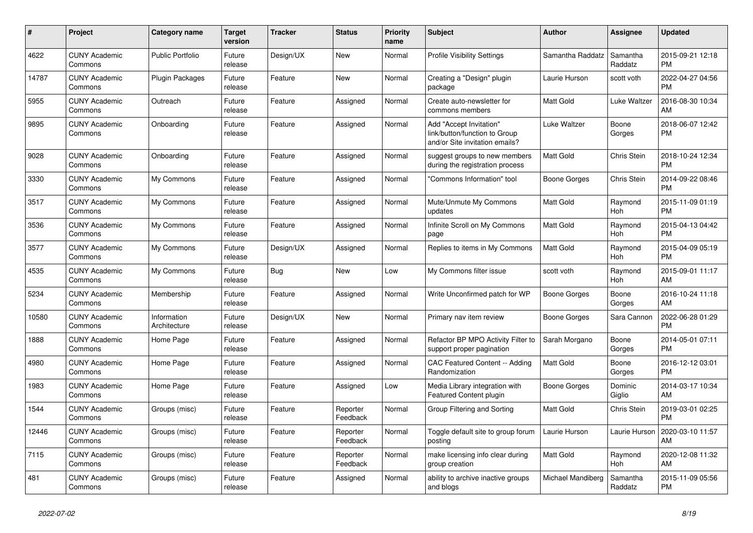| #     | <b>Project</b>                  | Category name               | <b>Target</b><br>version | <b>Tracker</b> | <b>Status</b>        | <b>Priority</b><br>name | <b>Subject</b>                                                                             | Author            | Assignee            | <b>Updated</b>                |
|-------|---------------------------------|-----------------------------|--------------------------|----------------|----------------------|-------------------------|--------------------------------------------------------------------------------------------|-------------------|---------------------|-------------------------------|
| 4622  | <b>CUNY Academic</b><br>Commons | <b>Public Portfolio</b>     | Future<br>release        | Design/UX      | <b>New</b>           | Normal                  | <b>Profile Visibility Settings</b>                                                         | Samantha Raddatz  | Samantha<br>Raddatz | 2015-09-21 12:18<br><b>PM</b> |
| 14787 | <b>CUNY Academic</b><br>Commons | Plugin Packages             | Future<br>release        | Feature        | <b>New</b>           | Normal                  | Creating a "Design" plugin<br>package                                                      | Laurie Hurson     | scott voth          | 2022-04-27 04:56<br><b>PM</b> |
| 5955  | <b>CUNY Academic</b><br>Commons | Outreach                    | Future<br>release        | Feature        | Assigned             | Normal                  | Create auto-newsletter for<br>commons members                                              | Matt Gold         | Luke Waltzer        | 2016-08-30 10:34<br>AM        |
| 9895  | <b>CUNY Academic</b><br>Commons | Onboarding                  | Future<br>release        | Feature        | Assigned             | Normal                  | Add "Accept Invitation"<br>link/button/function to Group<br>and/or Site invitation emails? | Luke Waltzer      | Boone<br>Gorges     | 2018-06-07 12:42<br><b>PM</b> |
| 9028  | <b>CUNY Academic</b><br>Commons | Onboarding                  | Future<br>release        | Feature        | Assigned             | Normal                  | suggest groups to new members<br>during the registration process                           | <b>Matt Gold</b>  | Chris Stein         | 2018-10-24 12:34<br><b>PM</b> |
| 3330  | <b>CUNY Academic</b><br>Commons | My Commons                  | Future<br>release        | Feature        | Assigned             | Normal                  | "Commons Information" tool                                                                 | Boone Gorges      | Chris Stein         | 2014-09-22 08:46<br><b>PM</b> |
| 3517  | <b>CUNY Academic</b><br>Commons | My Commons                  | Future<br>release        | Feature        | Assigned             | Normal                  | Mute/Unmute My Commons<br>updates                                                          | Matt Gold         | Raymond<br>Hoh      | 2015-11-09 01:19<br><b>PM</b> |
| 3536  | <b>CUNY Academic</b><br>Commons | My Commons                  | Future<br>release        | Feature        | Assigned             | Normal                  | Infinite Scroll on My Commons<br>page                                                      | <b>Matt Gold</b>  | Raymond<br>Hoh      | 2015-04-13 04:42<br><b>PM</b> |
| 3577  | <b>CUNY Academic</b><br>Commons | My Commons                  | Future<br>release        | Design/UX      | Assigned             | Normal                  | Replies to items in My Commons                                                             | <b>Matt Gold</b>  | Raymond<br>Hoh      | 2015-04-09 05:19<br><b>PM</b> |
| 4535  | <b>CUNY Academic</b><br>Commons | My Commons                  | Future<br>release        | <b>Bug</b>     | <b>New</b>           | Low                     | My Commons filter issue                                                                    | scott voth        | Raymond<br>Hoh      | 2015-09-01 11:17<br>AM        |
| 5234  | <b>CUNY Academic</b><br>Commons | Membership                  | Future<br>release        | Feature        | Assigned             | Normal                  | Write Unconfirmed patch for WP                                                             | Boone Gorges      | Boone<br>Gorges     | 2016-10-24 11:18<br>AM        |
| 10580 | <b>CUNY Academic</b><br>Commons | Information<br>Architecture | Future<br>release        | Design/UX      | <b>New</b>           | Normal                  | Primary nav item review                                                                    | Boone Gorges      | Sara Cannon         | 2022-06-28 01:29<br><b>PM</b> |
| 1888  | <b>CUNY Academic</b><br>Commons | Home Page                   | Future<br>release        | Feature        | Assigned             | Normal                  | Refactor BP MPO Activity Filter to<br>support proper pagination                            | Sarah Morgano     | Boone<br>Gorges     | 2014-05-01 07:11<br><b>PM</b> |
| 4980  | <b>CUNY Academic</b><br>Commons | Home Page                   | Future<br>release        | Feature        | Assigned             | Normal                  | CAC Featured Content -- Adding<br>Randomization                                            | Matt Gold         | Boone<br>Gorges     | 2016-12-12 03:01<br><b>PM</b> |
| 1983  | <b>CUNY Academic</b><br>Commons | Home Page                   | Future<br>release        | Feature        | Assigned             | Low                     | Media Library integration with<br><b>Featured Content plugin</b>                           | Boone Gorges      | Dominic<br>Giglio   | 2014-03-17 10:34<br>AM        |
| 1544  | <b>CUNY Academic</b><br>Commons | Groups (misc)               | Future<br>release        | Feature        | Reporter<br>Feedback | Normal                  | Group Filtering and Sorting                                                                | Matt Gold         | Chris Stein         | 2019-03-01 02:25<br><b>PM</b> |
| 12446 | <b>CUNY Academic</b><br>Commons | Groups (misc)               | Future<br>release        | Feature        | Reporter<br>Feedback | Normal                  | Toggle default site to group forum<br>posting                                              | Laurie Hurson     | Laurie Hurson       | 2020-03-10 11:57<br>AM        |
| 7115  | <b>CUNY Academic</b><br>Commons | Groups (misc)               | Future<br>release        | Feature        | Reporter<br>Feedback | Normal                  | make licensing info clear during<br>group creation                                         | <b>Matt Gold</b>  | Raymond<br>Hoh      | 2020-12-08 11:32<br>AM        |
| 481   | <b>CUNY Academic</b><br>Commons | Groups (misc)               | Future<br>release        | Feature        | Assigned             | Normal                  | ability to archive inactive groups<br>and blogs                                            | Michael Mandiberg | Samantha<br>Raddatz | 2015-11-09 05:56<br><b>PM</b> |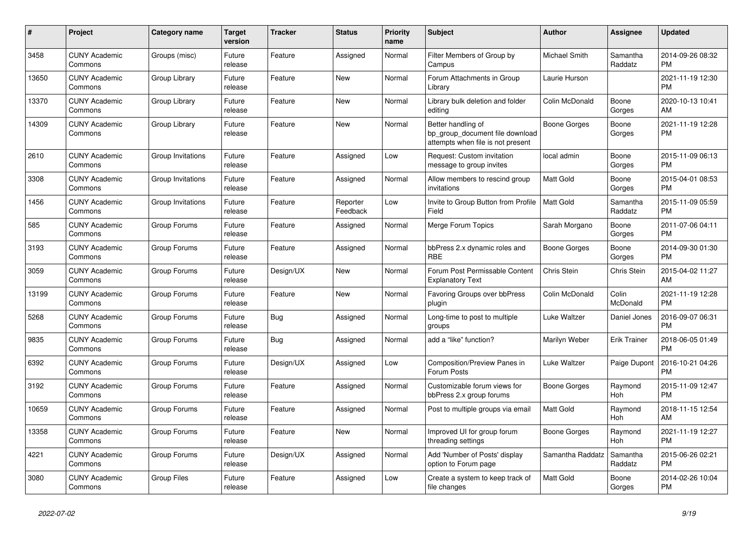| #     | <b>Project</b>                  | Category name      | Target<br>version | <b>Tracker</b> | <b>Status</b>        | <b>Priority</b><br>name | <b>Subject</b>                                                                             | <b>Author</b>    | Assignee            | <b>Updated</b>                |
|-------|---------------------------------|--------------------|-------------------|----------------|----------------------|-------------------------|--------------------------------------------------------------------------------------------|------------------|---------------------|-------------------------------|
| 3458  | <b>CUNY Academic</b><br>Commons | Groups (misc)      | Future<br>release | Feature        | Assigned             | Normal                  | Filter Members of Group by<br>Campus                                                       | Michael Smith    | Samantha<br>Raddatz | 2014-09-26 08:32<br><b>PM</b> |
| 13650 | <b>CUNY Academic</b><br>Commons | Group Library      | Future<br>release | Feature        | New                  | Normal                  | Forum Attachments in Group<br>Library                                                      | Laurie Hurson    |                     | 2021-11-19 12:30<br><b>PM</b> |
| 13370 | <b>CUNY Academic</b><br>Commons | Group Library      | Future<br>release | Feature        | <b>New</b>           | Normal                  | Library bulk deletion and folder<br>editing                                                | Colin McDonald   | Boone<br>Gorges     | 2020-10-13 10:41<br><b>AM</b> |
| 14309 | <b>CUNY Academic</b><br>Commons | Group Library      | Future<br>release | Feature        | <b>New</b>           | Normal                  | Better handling of<br>bp_group_document file download<br>attempts when file is not present | Boone Gorges     | Boone<br>Gorges     | 2021-11-19 12:28<br><b>PM</b> |
| 2610  | <b>CUNY Academic</b><br>Commons | Group Invitations  | Future<br>release | Feature        | Assigned             | Low                     | Request: Custom invitation<br>message to group invites                                     | local admin      | Boone<br>Gorges     | 2015-11-09 06:13<br><b>PM</b> |
| 3308  | <b>CUNY Academic</b><br>Commons | Group Invitations  | Future<br>release | Feature        | Assigned             | Normal                  | Allow members to rescind group<br>invitations                                              | <b>Matt Gold</b> | Boone<br>Gorges     | 2015-04-01 08:53<br><b>PM</b> |
| 1456  | <b>CUNY Academic</b><br>Commons | Group Invitations  | Future<br>release | Feature        | Reporter<br>Feedback | Low                     | Invite to Group Button from Profile<br>Field                                               | <b>Matt Gold</b> | Samantha<br>Raddatz | 2015-11-09 05:59<br><b>PM</b> |
| 585   | <b>CUNY Academic</b><br>Commons | Group Forums       | Future<br>release | Feature        | Assigned             | Normal                  | Merge Forum Topics                                                                         | Sarah Morgano    | Boone<br>Gorges     | 2011-07-06 04:11<br><b>PM</b> |
| 3193  | <b>CUNY Academic</b><br>Commons | Group Forums       | Future<br>release | Feature        | Assigned             | Normal                  | bbPress 2.x dynamic roles and<br><b>RBE</b>                                                | Boone Gorges     | Boone<br>Gorges     | 2014-09-30 01:30<br><b>PM</b> |
| 3059  | <b>CUNY Academic</b><br>Commons | Group Forums       | Future<br>release | Design/UX      | <b>New</b>           | Normal                  | Forum Post Permissable Content<br><b>Explanatory Text</b>                                  | Chris Stein      | Chris Stein         | 2015-04-02 11:27<br><b>AM</b> |
| 13199 | <b>CUNY Academic</b><br>Commons | Group Forums       | Future<br>release | Feature        | New                  | Normal                  | Favoring Groups over bbPress<br>plugin                                                     | Colin McDonald   | Colin<br>McDonald   | 2021-11-19 12:28<br><b>PM</b> |
| 5268  | <b>CUNY Academic</b><br>Commons | Group Forums       | Future<br>release | Bug            | Assigned             | Normal                  | Long-time to post to multiple<br>groups                                                    | Luke Waltzer     | Daniel Jones        | 2016-09-07 06:31<br><b>PM</b> |
| 9835  | <b>CUNY Academic</b><br>Commons | Group Forums       | Future<br>release | Bug            | Assigned             | Normal                  | add a "like" function?                                                                     | Marilyn Weber    | <b>Erik Trainer</b> | 2018-06-05 01:49<br><b>PM</b> |
| 6392  | <b>CUNY Academic</b><br>Commons | Group Forums       | Future<br>release | Design/UX      | Assigned             | Low                     | Composition/Preview Panes in<br>Forum Posts                                                | Luke Waltzer     | Paige Dupont        | 2016-10-21 04:26<br><b>PM</b> |
| 3192  | <b>CUNY Academic</b><br>Commons | Group Forums       | Future<br>release | Feature        | Assigned             | Normal                  | Customizable forum views for<br>bbPress 2.x group forums                                   | Boone Gorges     | Raymond<br>Hoh      | 2015-11-09 12:47<br><b>PM</b> |
| 10659 | <b>CUNY Academic</b><br>Commons | Group Forums       | Future<br>release | Feature        | Assigned             | Normal                  | Post to multiple groups via email                                                          | Matt Gold        | Raymond<br>Hoh      | 2018-11-15 12:54<br><b>AM</b> |
| 13358 | <b>CUNY Academic</b><br>Commons | Group Forums       | Future<br>release | Feature        | New                  | Normal                  | Improved UI for group forum<br>threading settings                                          | Boone Gorges     | Raymond<br>Hoh      | 2021-11-19 12:27<br><b>PM</b> |
| 4221  | <b>CUNY Academic</b><br>Commons | Group Forums       | Future<br>release | Design/UX      | Assigned             | Normal                  | Add 'Number of Posts' display<br>option to Forum page                                      | Samantha Raddatz | Samantha<br>Raddatz | 2015-06-26 02:21<br><b>PM</b> |
| 3080  | <b>CUNY Academic</b><br>Commons | <b>Group Files</b> | Future<br>release | Feature        | Assigned             | Low                     | Create a system to keep track of<br>file changes                                           | <b>Matt Gold</b> | Boone<br>Gorges     | 2014-02-26 10:04<br><b>PM</b> |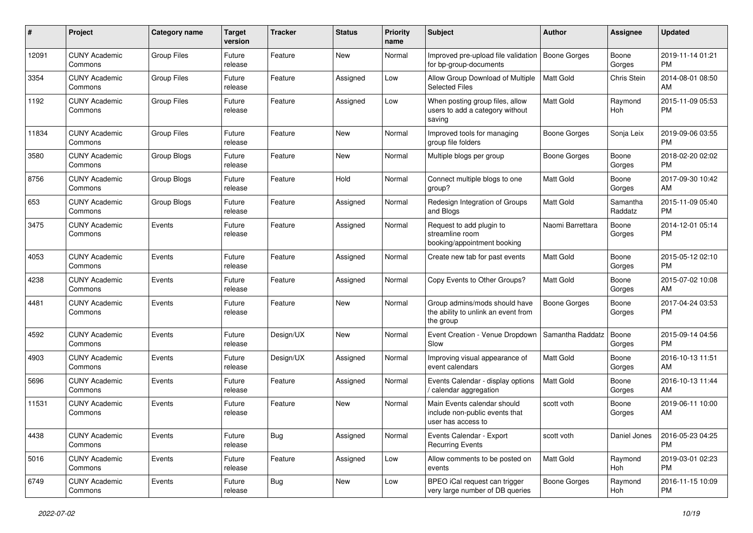| #     | Project                         | <b>Category name</b> | <b>Target</b><br>version | <b>Tracker</b> | <b>Status</b> | Priority<br>name | <b>Subject</b>                                                                      | <b>Author</b>       | <b>Assignee</b>     | <b>Updated</b>                |
|-------|---------------------------------|----------------------|--------------------------|----------------|---------------|------------------|-------------------------------------------------------------------------------------|---------------------|---------------------|-------------------------------|
| 12091 | <b>CUNY Academic</b><br>Commons | <b>Group Files</b>   | Future<br>release        | Feature        | New           | Normal           | Improved pre-upload file validation<br>for bp-group-documents                       | Boone Gorges        | Boone<br>Gorges     | 2019-11-14 01:21<br><b>PM</b> |
| 3354  | <b>CUNY Academic</b><br>Commons | <b>Group Files</b>   | Future<br>release        | Feature        | Assigned      | Low              | Allow Group Download of Multiple<br><b>Selected Files</b>                           | Matt Gold           | Chris Stein         | 2014-08-01 08:50<br>AM        |
| 1192  | <b>CUNY Academic</b><br>Commons | <b>Group Files</b>   | Future<br>release        | Feature        | Assigned      | Low              | When posting group files, allow<br>users to add a category without<br>saving        | Matt Gold           | Raymond<br>Hoh      | 2015-11-09 05:53<br><b>PM</b> |
| 11834 | <b>CUNY Academic</b><br>Commons | <b>Group Files</b>   | Future<br>release        | Feature        | New           | Normal           | Improved tools for managing<br>group file folders                                   | Boone Gorges        | Sonja Leix          | 2019-09-06 03:55<br><b>PM</b> |
| 3580  | <b>CUNY Academic</b><br>Commons | Group Blogs          | Future<br>release        | Feature        | New           | Normal           | Multiple blogs per group                                                            | Boone Gorges        | Boone<br>Gorges     | 2018-02-20 02:02<br><b>PM</b> |
| 8756  | <b>CUNY Academic</b><br>Commons | Group Blogs          | Future<br>release        | Feature        | Hold          | Normal           | Connect multiple blogs to one<br>group?                                             | <b>Matt Gold</b>    | Boone<br>Gorges     | 2017-09-30 10:42<br>AM        |
| 653   | <b>CUNY Academic</b><br>Commons | Group Blogs          | Future<br>release        | Feature        | Assigned      | Normal           | Redesign Integration of Groups<br>and Blogs                                         | <b>Matt Gold</b>    | Samantha<br>Raddatz | 2015-11-09 05:40<br><b>PM</b> |
| 3475  | <b>CUNY Academic</b><br>Commons | Events               | Future<br>release        | Feature        | Assigned      | Normal           | Request to add plugin to<br>streamline room<br>booking/appointment booking          | Naomi Barrettara    | Boone<br>Gorges     | 2014-12-01 05:14<br><b>PM</b> |
| 4053  | <b>CUNY Academic</b><br>Commons | Events               | Future<br>release        | Feature        | Assigned      | Normal           | Create new tab for past events                                                      | <b>Matt Gold</b>    | Boone<br>Gorges     | 2015-05-12 02:10<br><b>PM</b> |
| 4238  | <b>CUNY Academic</b><br>Commons | Events               | Future<br>release        | Feature        | Assigned      | Normal           | Copy Events to Other Groups?                                                        | Matt Gold           | Boone<br>Gorges     | 2015-07-02 10:08<br>AM.       |
| 4481  | <b>CUNY Academic</b><br>Commons | Events               | Future<br>release        | Feature        | <b>New</b>    | Normal           | Group admins/mods should have<br>the ability to unlink an event from<br>the group   | <b>Boone Gorges</b> | Boone<br>Gorges     | 2017-04-24 03:53<br><b>PM</b> |
| 4592  | <b>CUNY Academic</b><br>Commons | Events               | Future<br>release        | Design/UX      | New           | Normal           | Event Creation - Venue Dropdown<br>Slow                                             | Samantha Raddatz    | Boone<br>Gorges     | 2015-09-14 04:56<br><b>PM</b> |
| 4903  | <b>CUNY Academic</b><br>Commons | Events               | Future<br>release        | Design/UX      | Assigned      | Normal           | Improving visual appearance of<br>event calendars                                   | Matt Gold           | Boone<br>Gorges     | 2016-10-13 11:51<br>AM        |
| 5696  | <b>CUNY Academic</b><br>Commons | Events               | Future<br>release        | Feature        | Assigned      | Normal           | Events Calendar - display options<br>/ calendar aggregation                         | Matt Gold           | Boone<br>Gorges     | 2016-10-13 11:44<br>AM        |
| 11531 | <b>CUNY Academic</b><br>Commons | Events               | Future<br>release        | Feature        | New           | Normal           | Main Events calendar should<br>include non-public events that<br>user has access to | scott voth          | Boone<br>Gorges     | 2019-06-11 10:00<br>AM        |
| 4438  | <b>CUNY Academic</b><br>Commons | Events               | Future<br>release        | <b>Bug</b>     | Assigned      | Normal           | Events Calendar - Export<br><b>Recurring Events</b>                                 | scott voth          | Daniel Jones        | 2016-05-23 04:25<br><b>PM</b> |
| 5016  | <b>CUNY Academic</b><br>Commons | Events               | Future<br>release        | Feature        | Assigned      | Low              | Allow comments to be posted on<br>events                                            | Matt Gold           | Raymond<br>Hoh      | 2019-03-01 02:23<br><b>PM</b> |
| 6749  | <b>CUNY Academic</b><br>Commons | Events               | Future<br>release        | <b>Bug</b>     | New           | Low              | BPEO iCal request can trigger<br>very large number of DB queries                    | <b>Boone Gorges</b> | Raymond<br>Hoh      | 2016-11-15 10:09<br><b>PM</b> |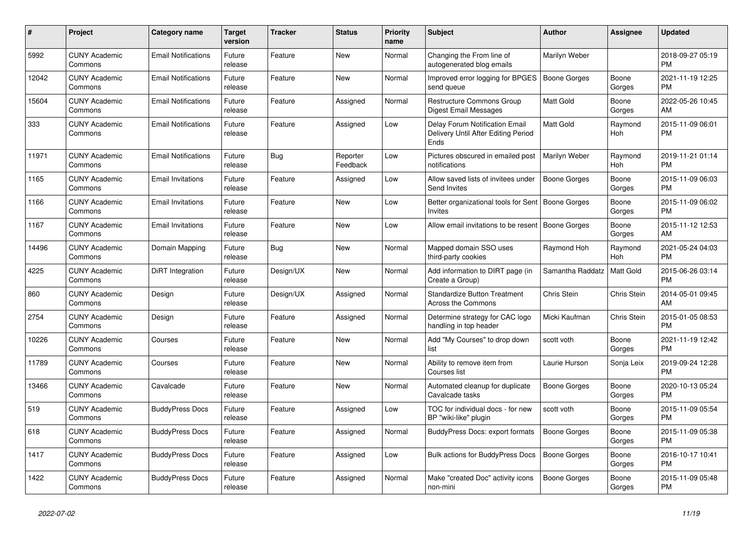| #     | <b>Project</b>                  | Category name              | Target<br>version | <b>Tracker</b> | <b>Status</b>        | Priority<br>name | <b>Subject</b>                                                                | <b>Author</b>       | Assignee        | <b>Updated</b>                |
|-------|---------------------------------|----------------------------|-------------------|----------------|----------------------|------------------|-------------------------------------------------------------------------------|---------------------|-----------------|-------------------------------|
| 5992  | <b>CUNY Academic</b><br>Commons | <b>Email Notifications</b> | Future<br>release | Feature        | New                  | Normal           | Changing the From line of<br>autogenerated blog emails                        | Marilyn Weber       |                 | 2018-09-27 05:19<br><b>PM</b> |
| 12042 | <b>CUNY Academic</b><br>Commons | <b>Email Notifications</b> | Future<br>release | Feature        | New                  | Normal           | Improved error logging for BPGES<br>send queue                                | Boone Gorges        | Boone<br>Gorges | 2021-11-19 12:25<br>PM.       |
| 15604 | <b>CUNY Academic</b><br>Commons | <b>Email Notifications</b> | Future<br>release | Feature        | Assigned             | Normal           | <b>Restructure Commons Group</b><br>Digest Email Messages                     | Matt Gold           | Boone<br>Gorges | 2022-05-26 10:45<br>AM        |
| 333   | <b>CUNY Academic</b><br>Commons | <b>Email Notifications</b> | Future<br>release | Feature        | Assigned             | Low              | Delay Forum Notification Email<br>Delivery Until After Editing Period<br>Ends | Matt Gold           | Raymond<br>Hoh  | 2015-11-09 06:01<br><b>PM</b> |
| 11971 | <b>CUNY Academic</b><br>Commons | <b>Email Notifications</b> | Future<br>release | Bug            | Reporter<br>Feedback | Low              | Pictures obscured in emailed post<br>notifications                            | Marilyn Weber       | Raymond<br>Hoh  | 2019-11-21 01:14<br><b>PM</b> |
| 1165  | <b>CUNY Academic</b><br>Commons | <b>Email Invitations</b>   | Future<br>release | Feature        | Assigned             | Low              | Allow saved lists of invitees under<br>Send Invites                           | Boone Gorges        | Boone<br>Gorges | 2015-11-09 06:03<br><b>PM</b> |
| 1166  | <b>CUNY Academic</b><br>Commons | <b>Email Invitations</b>   | Future<br>release | Feature        | <b>New</b>           | Low              | Better organizational tools for Sent<br><b>Invites</b>                        | <b>Boone Gorges</b> | Boone<br>Gorges | 2015-11-09 06:02<br><b>PM</b> |
| 1167  | <b>CUNY Academic</b><br>Commons | <b>Email Invitations</b>   | Future<br>release | Feature        | New                  | Low              | Allow email invitations to be resent                                          | Boone Gorges        | Boone<br>Gorges | 2015-11-12 12:53<br>AM        |
| 14496 | <b>CUNY Academic</b><br>Commons | Domain Mapping             | Future<br>release | Bug            | New                  | Normal           | Mapped domain SSO uses<br>third-party cookies                                 | Raymond Hoh         | Raymond<br>Hoh  | 2021-05-24 04:03<br><b>PM</b> |
| 4225  | <b>CUNY Academic</b><br>Commons | DiRT Integration           | Future<br>release | Design/UX      | <b>New</b>           | Normal           | Add information to DIRT page (in<br>Create a Group)                           | Samantha Raddatz    | Matt Gold       | 2015-06-26 03:14<br><b>PM</b> |
| 860   | <b>CUNY Academic</b><br>Commons | Design                     | Future<br>release | Design/UX      | Assigned             | Normal           | <b>Standardize Button Treatment</b><br>Across the Commons                     | Chris Stein         | Chris Stein     | 2014-05-01 09:45<br>AM        |
| 2754  | <b>CUNY Academic</b><br>Commons | Design                     | Future<br>release | Feature        | Assigned             | Normal           | Determine strategy for CAC logo<br>handling in top header                     | Micki Kaufman       | Chris Stein     | 2015-01-05 08:53<br><b>PM</b> |
| 10226 | <b>CUNY Academic</b><br>Commons | Courses                    | Future<br>release | Feature        | <b>New</b>           | Normal           | Add "My Courses" to drop down<br>list                                         | scott voth          | Boone<br>Gorges | 2021-11-19 12:42<br><b>PM</b> |
| 11789 | <b>CUNY Academic</b><br>Commons | Courses                    | Future<br>release | Feature        | New                  | Normal           | Ability to remove item from<br>Courses list                                   | Laurie Hurson       | Sonja Leix      | 2019-09-24 12:28<br><b>PM</b> |
| 13466 | <b>CUNY Academic</b><br>Commons | Cavalcade                  | Future<br>release | Feature        | <b>New</b>           | Normal           | Automated cleanup for duplicate<br>Cavalcade tasks                            | Boone Gorges        | Boone<br>Gorges | 2020-10-13 05:24<br><b>PM</b> |
| 519   | <b>CUNY Academic</b><br>Commons | <b>BuddyPress Docs</b>     | Future<br>release | Feature        | Assigned             | Low              | TOC for individual docs - for new<br>BP "wiki-like" plugin                    | scott voth          | Boone<br>Gorges | 2015-11-09 05:54<br><b>PM</b> |
| 618   | <b>CUNY Academic</b><br>Commons | <b>BuddyPress Docs</b>     | Future<br>release | Feature        | Assigned             | Normal           | BuddyPress Docs: export formats                                               | <b>Boone Gorges</b> | Boone<br>Gorges | 2015-11-09 05:38<br><b>PM</b> |
| 1417  | <b>CUNY Academic</b><br>Commons | <b>BuddyPress Docs</b>     | Future<br>release | Feature        | Assigned             | Low              | <b>Bulk actions for BuddyPress Docs</b>                                       | <b>Boone Gorges</b> | Boone<br>Gorges | 2016-10-17 10:41<br>PM.       |
| 1422  | <b>CUNY Academic</b><br>Commons | <b>BuddyPress Docs</b>     | Future<br>release | Feature        | Assigned             | Normal           | Make "created Doc" activity icons<br>non-mini                                 | <b>Boone Gorges</b> | Boone<br>Gorges | 2015-11-09 05:48<br><b>PM</b> |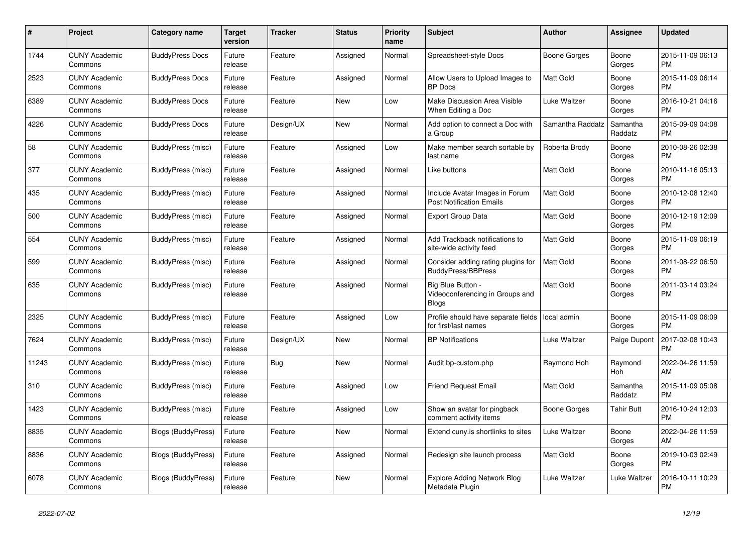| #     | Project                         | Category name             | <b>Target</b><br>version | Tracker   | <b>Status</b> | <b>Priority</b><br>name | <b>Subject</b>                                                       | <b>Author</b>       | Assignee            | <b>Updated</b>                |
|-------|---------------------------------|---------------------------|--------------------------|-----------|---------------|-------------------------|----------------------------------------------------------------------|---------------------|---------------------|-------------------------------|
| 1744  | <b>CUNY Academic</b><br>Commons | <b>BuddyPress Docs</b>    | Future<br>release        | Feature   | Assigned      | Normal                  | Spreadsheet-style Docs                                               | Boone Gorges        | Boone<br>Gorges     | 2015-11-09 06:13<br><b>PM</b> |
| 2523  | <b>CUNY Academic</b><br>Commons | <b>BuddyPress Docs</b>    | Future<br>release        | Feature   | Assigned      | Normal                  | Allow Users to Upload Images to<br><b>BP</b> Docs                    | <b>Matt Gold</b>    | Boone<br>Gorges     | 2015-11-09 06:14<br><b>PM</b> |
| 6389  | <b>CUNY Academic</b><br>Commons | <b>BuddyPress Docs</b>    | Future<br>release        | Feature   | New           | Low                     | Make Discussion Area Visible<br>When Editing a Doc                   | Luke Waltzer        | Boone<br>Gorges     | 2016-10-21 04:16<br><b>PM</b> |
| 4226  | <b>CUNY Academic</b><br>Commons | <b>BuddyPress Docs</b>    | Future<br>release        | Design/UX | New           | Normal                  | Add option to connect a Doc with<br>a Group                          | Samantha Raddatz    | Samantha<br>Raddatz | 2015-09-09 04:08<br><b>PM</b> |
| 58    | <b>CUNY Academic</b><br>Commons | BuddyPress (misc)         | Future<br>release        | Feature   | Assigned      | Low                     | Make member search sortable by<br>last name                          | Roberta Brody       | Boone<br>Gorges     | 2010-08-26 02:38<br><b>PM</b> |
| 377   | <b>CUNY Academic</b><br>Commons | BuddyPress (misc)         | Future<br>release        | Feature   | Assigned      | Normal                  | Like buttons                                                         | Matt Gold           | Boone<br>Gorges     | 2010-11-16 05:13<br><b>PM</b> |
| 435   | <b>CUNY Academic</b><br>Commons | BuddyPress (misc)         | Future<br>release        | Feature   | Assigned      | Normal                  | Include Avatar Images in Forum<br><b>Post Notification Emails</b>    | <b>Matt Gold</b>    | Boone<br>Gorges     | 2010-12-08 12:40<br><b>PM</b> |
| 500   | <b>CUNY Academic</b><br>Commons | BuddyPress (misc)         | Future<br>release        | Feature   | Assigned      | Normal                  | <b>Export Group Data</b>                                             | Matt Gold           | Boone<br>Gorges     | 2010-12-19 12:09<br><b>PM</b> |
| 554   | <b>CUNY Academic</b><br>Commons | BuddyPress (misc)         | Future<br>release        | Feature   | Assigned      | Normal                  | Add Trackback notifications to<br>site-wide activity feed            | Matt Gold           | Boone<br>Gorges     | 2015-11-09 06:19<br><b>PM</b> |
| 599   | <b>CUNY Academic</b><br>Commons | BuddyPress (misc)         | Future<br>release        | Feature   | Assigned      | Normal                  | Consider adding rating plugins for<br><b>BuddyPress/BBPress</b>      | <b>Matt Gold</b>    | Boone<br>Gorges     | 2011-08-22 06:50<br><b>PM</b> |
| 635   | <b>CUNY Academic</b><br>Commons | BuddyPress (misc)         | Future<br>release        | Feature   | Assigned      | Normal                  | Big Blue Button -<br>Videoconferencing in Groups and<br><b>Blogs</b> | Matt Gold           | Boone<br>Gorges     | 2011-03-14 03:24<br><b>PM</b> |
| 2325  | <b>CUNY Academic</b><br>Commons | BuddyPress (misc)         | Future<br>release        | Feature   | Assigned      | Low                     | Profile should have separate fields<br>for first/last names          | local admin         | Boone<br>Gorges     | 2015-11-09 06:09<br><b>PM</b> |
| 7624  | <b>CUNY Academic</b><br>Commons | BuddyPress (misc)         | Future<br>release        | Design/UX | <b>New</b>    | Normal                  | <b>BP</b> Notifications                                              | Luke Waltzer        | Paige Dupont        | 2017-02-08 10:43<br><b>PM</b> |
| 11243 | <b>CUNY Academic</b><br>Commons | BuddyPress (misc)         | Future<br>release        | Bug       | New           | Normal                  | Audit bp-custom.php                                                  | Raymond Hoh         | Raymond<br>Hoh      | 2022-04-26 11:59<br>AM        |
| 310   | <b>CUNY Academic</b><br>Commons | BuddyPress (misc)         | Future<br>release        | Feature   | Assigned      | Low                     | <b>Friend Request Email</b>                                          | <b>Matt Gold</b>    | Samantha<br>Raddatz | 2015-11-09 05:08<br><b>PM</b> |
| 1423  | <b>CUNY Academic</b><br>Commons | BuddyPress (misc)         | Future<br>release        | Feature   | Assigned      | Low                     | Show an avatar for pingback<br>comment activity items                | <b>Boone Gorges</b> | <b>Tahir Butt</b>   | 2016-10-24 12:03<br><b>PM</b> |
| 8835  | <b>CUNY Academic</b><br>Commons | <b>Blogs (BuddyPress)</b> | Future<br>release        | Feature   | New           | Normal                  | Extend cuny is shortlinks to sites                                   | Luke Waltzer        | Boone<br>Gorges     | 2022-04-26 11:59<br>AM        |
| 8836  | <b>CUNY Academic</b><br>Commons | <b>Blogs (BuddyPress)</b> | Future<br>release        | Feature   | Assigned      | Normal                  | Redesign site launch process                                         | Matt Gold           | Boone<br>Gorges     | 2019-10-03 02:49<br><b>PM</b> |
| 6078  | <b>CUNY Academic</b><br>Commons | <b>Blogs (BuddyPress)</b> | Future<br>release        | Feature   | <b>New</b>    | Normal                  | <b>Explore Adding Network Blog</b><br>Metadata Plugin                | Luke Waltzer        | Luke Waltzer        | 2016-10-11 10:29<br><b>PM</b> |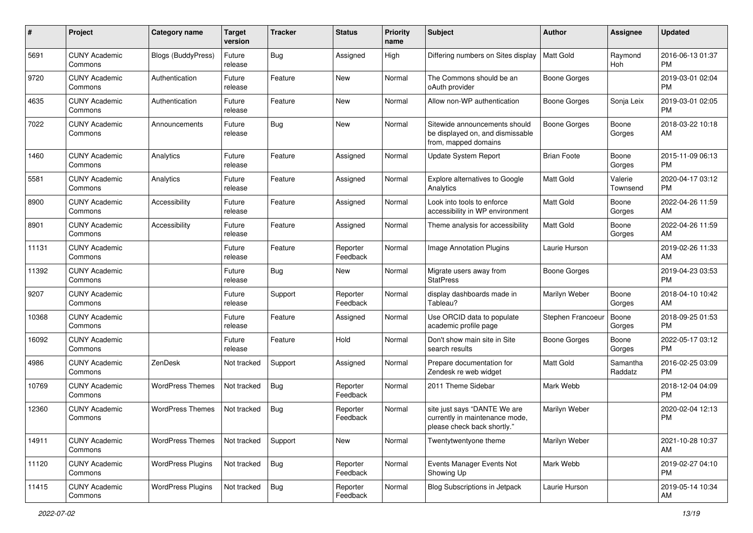| #     | Project                         | <b>Category name</b>     | <b>Target</b><br>version | <b>Tracker</b> | <b>Status</b>        | Priority<br>name | <b>Subject</b>                                                                                | <b>Author</b>      | <b>Assignee</b>     | <b>Updated</b>                |
|-------|---------------------------------|--------------------------|--------------------------|----------------|----------------------|------------------|-----------------------------------------------------------------------------------------------|--------------------|---------------------|-------------------------------|
| 5691  | <b>CUNY Academic</b><br>Commons | Blogs (BuddyPress)       | Future<br>release        | Bug            | Assigned             | High             | Differing numbers on Sites display                                                            | <b>Matt Gold</b>   | Raymond<br>Hoh      | 2016-06-13 01:37<br>PM.       |
| 9720  | <b>CUNY Academic</b><br>Commons | Authentication           | Future<br>release        | Feature        | New                  | Normal           | The Commons should be an<br>oAuth provider                                                    | Boone Gorges       |                     | 2019-03-01 02:04<br><b>PM</b> |
| 4635  | <b>CUNY Academic</b><br>Commons | Authentication           | Future<br>release        | Feature        | New                  | Normal           | Allow non-WP authentication                                                                   | Boone Gorges       | Sonja Leix          | 2019-03-01 02:05<br><b>PM</b> |
| 7022  | <b>CUNY Academic</b><br>Commons | Announcements            | Future<br>release        | Bug            | New                  | Normal           | Sitewide announcements should<br>be displayed on, and dismissable<br>from, mapped domains     | Boone Gorges       | Boone<br>Gorges     | 2018-03-22 10:18<br>AM        |
| 1460  | <b>CUNY Academic</b><br>Commons | Analytics                | Future<br>release        | Feature        | Assigned             | Normal           | Update System Report                                                                          | <b>Brian Foote</b> | Boone<br>Gorges     | 2015-11-09 06:13<br>PM.       |
| 5581  | <b>CUNY Academic</b><br>Commons | Analytics                | Future<br>release        | Feature        | Assigned             | Normal           | <b>Explore alternatives to Google</b><br>Analytics                                            | <b>Matt Gold</b>   | Valerie<br>Townsend | 2020-04-17 03:12<br><b>PM</b> |
| 8900  | <b>CUNY Academic</b><br>Commons | Accessibility            | Future<br>release        | Feature        | Assigned             | Normal           | Look into tools to enforce<br>accessibility in WP environment                                 | Matt Gold          | Boone<br>Gorges     | 2022-04-26 11:59<br>AM.       |
| 8901  | <b>CUNY Academic</b><br>Commons | Accessibility            | Future<br>release        | Feature        | Assigned             | Normal           | Theme analysis for accessibility                                                              | Matt Gold          | Boone<br>Gorges     | 2022-04-26 11:59<br>AM.       |
| 11131 | <b>CUNY Academic</b><br>Commons |                          | Future<br>release        | Feature        | Reporter<br>Feedback | Normal           | <b>Image Annotation Plugins</b>                                                               | Laurie Hurson      |                     | 2019-02-26 11:33<br>AM.       |
| 11392 | <b>CUNY Academic</b><br>Commons |                          | Future<br>release        | <b>Bug</b>     | New                  | Normal           | Migrate users away from<br><b>StatPress</b>                                                   | Boone Gorges       |                     | 2019-04-23 03:53<br><b>PM</b> |
| 9207  | <b>CUNY Academic</b><br>Commons |                          | Future<br>release        | Support        | Reporter<br>Feedback | Normal           | display dashboards made in<br>Tableau?                                                        | Marilyn Weber      | Boone<br>Gorges     | 2018-04-10 10:42<br>AM        |
| 10368 | <b>CUNY Academic</b><br>Commons |                          | Future<br>release        | Feature        | Assigned             | Normal           | Use ORCID data to populate<br>academic profile page                                           | Stephen Francoeur  | Boone<br>Gorges     | 2018-09-25 01:53<br>PM.       |
| 16092 | <b>CUNY Academic</b><br>Commons |                          | Future<br>release        | Feature        | Hold                 | Normal           | Don't show main site in Site<br>search results                                                | Boone Gorges       | Boone<br>Gorges     | 2022-05-17 03:12<br><b>PM</b> |
| 4986  | <b>CUNY Academic</b><br>Commons | ZenDesk                  | Not tracked              | Support        | Assigned             | Normal           | Prepare documentation for<br>Zendesk re web widget                                            | Matt Gold          | Samantha<br>Raddatz | 2016-02-25 03:09<br><b>PM</b> |
| 10769 | <b>CUNY Academic</b><br>Commons | <b>WordPress Themes</b>  | Not tracked              | Bug            | Reporter<br>Feedback | Normal           | 2011 Theme Sidebar                                                                            | Mark Webb          |                     | 2018-12-04 04:09<br><b>PM</b> |
| 12360 | <b>CUNY Academic</b><br>Commons | <b>WordPress Themes</b>  | Not tracked              | Bug            | Reporter<br>Feedback | Normal           | site just says "DANTE We are<br>currently in maintenance mode,<br>please check back shortly." | Marilyn Weber      |                     | 2020-02-04 12:13<br><b>PM</b> |
| 14911 | <b>CUNY Academic</b><br>Commons | <b>WordPress Themes</b>  | Not tracked              | Support        | New                  | Normal           | Twentytwentyone theme                                                                         | Marilyn Weber      |                     | 2021-10-28 10:37<br>AM        |
| 11120 | <b>CUNY Academic</b><br>Commons | <b>WordPress Plugins</b> | Not tracked              | Bug            | Reporter<br>Feedback | Normal           | Events Manager Events Not<br>Showing Up                                                       | Mark Webb          |                     | 2019-02-27 04:10<br><b>PM</b> |
| 11415 | <b>CUNY Academic</b><br>Commons | <b>WordPress Plugins</b> | Not tracked              | Bug            | Reporter<br>Feedback | Normal           | Blog Subscriptions in Jetpack                                                                 | Laurie Hurson      |                     | 2019-05-14 10:34<br>AM        |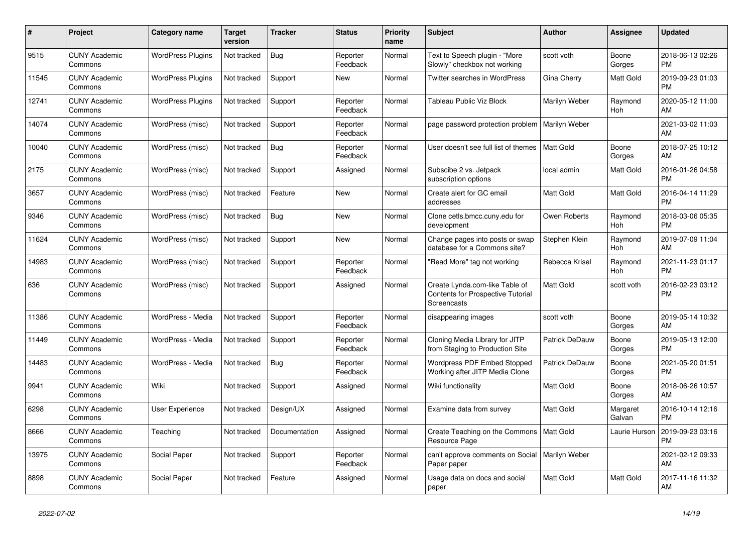| #     | Project                         | <b>Category name</b>     | <b>Target</b><br>version | <b>Tracker</b> | <b>Status</b>        | Priority<br>name | <b>Subject</b>                                                                            | <b>Author</b>    | <b>Assignee</b>    | <b>Updated</b>                |
|-------|---------------------------------|--------------------------|--------------------------|----------------|----------------------|------------------|-------------------------------------------------------------------------------------------|------------------|--------------------|-------------------------------|
| 9515  | <b>CUNY Academic</b><br>Commons | <b>WordPress Plugins</b> | Not tracked              | <b>Bug</b>     | Reporter<br>Feedback | Normal           | Text to Speech plugin - "More<br>Slowly" checkbox not working                             | scott voth       | Boone<br>Gorges    | 2018-06-13 02:26<br><b>PM</b> |
| 11545 | <b>CUNY Academic</b><br>Commons | <b>WordPress Plugins</b> | Not tracked              | Support        | New                  | Normal           | <b>Twitter searches in WordPress</b>                                                      | Gina Cherry      | Matt Gold          | 2019-09-23 01:03<br><b>PM</b> |
| 12741 | <b>CUNY Academic</b><br>Commons | <b>WordPress Plugins</b> | Not tracked              | Support        | Reporter<br>Feedback | Normal           | <b>Tableau Public Viz Block</b>                                                           | Marilyn Weber    | Raymond<br>Hoh     | 2020-05-12 11:00<br>AM        |
| 14074 | <b>CUNY Academic</b><br>Commons | WordPress (misc)         | Not tracked              | Support        | Reporter<br>Feedback | Normal           | page password protection problem                                                          | Marilyn Weber    |                    | 2021-03-02 11:03<br>AM        |
| 10040 | <b>CUNY Academic</b><br>Commons | WordPress (misc)         | Not tracked              | Bug            | Reporter<br>Feedback | Normal           | User doesn't see full list of themes                                                      | <b>Matt Gold</b> | Boone<br>Gorges    | 2018-07-25 10:12<br>AM        |
| 2175  | <b>CUNY Academic</b><br>Commons | WordPress (misc)         | Not tracked              | Support        | Assigned             | Normal           | Subscibe 2 vs. Jetpack<br>subscription options                                            | local admin      | Matt Gold          | 2016-01-26 04:58<br><b>PM</b> |
| 3657  | <b>CUNY Academic</b><br>Commons | WordPress (misc)         | Not tracked              | Feature        | <b>New</b>           | Normal           | Create alert for GC email<br>addresses                                                    | <b>Matt Gold</b> | Matt Gold          | 2016-04-14 11:29<br><b>PM</b> |
| 9346  | <b>CUNY Academic</b><br>Commons | WordPress (misc)         | Not tracked              | Bug            | New                  | Normal           | Clone cetls.bmcc.cuny.edu for<br>development                                              | Owen Roberts     | Raymond<br>Hoh     | 2018-03-06 05:35<br><b>PM</b> |
| 11624 | <b>CUNY Academic</b><br>Commons | WordPress (misc)         | Not tracked              | Support        | <b>New</b>           | Normal           | Change pages into posts or swap<br>database for a Commons site?                           | Stephen Klein    | Raymond<br>Hoh     | 2019-07-09 11:04<br>AM        |
| 14983 | <b>CUNY Academic</b><br>Commons | WordPress (misc)         | Not tracked              | Support        | Reporter<br>Feedback | Normal           | "Read More" tag not working                                                               | Rebecca Krisel   | Raymond<br>Hoh     | 2021-11-23 01:17<br><b>PM</b> |
| 636   | <b>CUNY Academic</b><br>Commons | WordPress (misc)         | Not tracked              | Support        | Assigned             | Normal           | Create Lynda.com-like Table of<br>Contents for Prospective Tutorial<br><b>Screencasts</b> | Matt Gold        | scott voth         | 2016-02-23 03:12<br><b>PM</b> |
| 11386 | <b>CUNY Academic</b><br>Commons | WordPress - Media        | Not tracked              | Support        | Reporter<br>Feedback | Normal           | disappearing images                                                                       | scott voth       | Boone<br>Gorges    | 2019-05-14 10:32<br>AM        |
| 11449 | <b>CUNY Academic</b><br>Commons | WordPress - Media        | Not tracked              | Support        | Reporter<br>Feedback | Normal           | Cloning Media Library for JITP<br>from Staging to Production Site                         | Patrick DeDauw   | Boone<br>Gorges    | 2019-05-13 12:00<br><b>PM</b> |
| 14483 | <b>CUNY Academic</b><br>Commons | WordPress - Media        | Not tracked              | <b>Bug</b>     | Reporter<br>Feedback | Normal           | <b>Wordpress PDF Embed Stopped</b><br>Working after JITP Media Clone                      | Patrick DeDauw   | Boone<br>Gorges    | 2021-05-20 01:51<br><b>PM</b> |
| 9941  | <b>CUNY Academic</b><br>Commons | Wiki                     | Not tracked              | Support        | Assigned             | Normal           | Wiki functionality                                                                        | <b>Matt Gold</b> | Boone<br>Gorges    | 2018-06-26 10:57<br>AM        |
| 6298  | <b>CUNY Academic</b><br>Commons | User Experience          | Not tracked              | Design/UX      | Assigned             | Normal           | Examine data from survey                                                                  | <b>Matt Gold</b> | Margaret<br>Galvan | 2016-10-14 12:16<br><b>PM</b> |
| 8666  | <b>CUNY Academic</b><br>Commons | Teaching                 | Not tracked              | Documentation  | Assigned             | Normal           | Create Teaching on the Commons<br>Resource Page                                           | Matt Gold        | Laurie Hurson      | 2019-09-23 03:16<br><b>PM</b> |
| 13975 | <b>CUNY Academic</b><br>Commons | Social Paper             | Not tracked              | Support        | Reporter<br>Feedback | Normal           | can't approve comments on Social<br>Paper paper                                           | Marilyn Weber    |                    | 2021-02-12 09:33<br>AM        |
| 8898  | <b>CUNY Academic</b><br>Commons | Social Paper             | Not tracked              | Feature        | Assigned             | Normal           | Usage data on docs and social<br>paper                                                    | <b>Matt Gold</b> | Matt Gold          | 2017-11-16 11:32<br>AM        |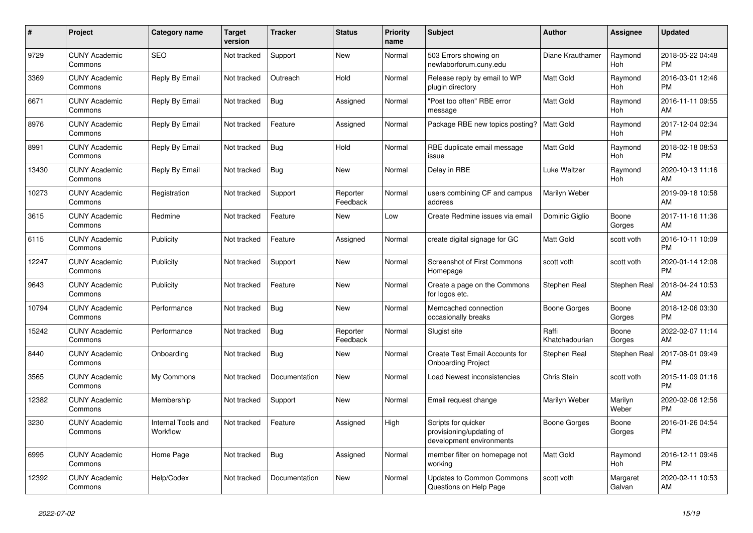| $\pmb{\#}$ | <b>Project</b>                  | <b>Category name</b>                  | <b>Target</b><br>version | <b>Tracker</b> | <b>Status</b>        | Priority<br>name | <b>Subject</b>                                                              | <b>Author</b>           | Assignee           | <b>Updated</b>                |
|------------|---------------------------------|---------------------------------------|--------------------------|----------------|----------------------|------------------|-----------------------------------------------------------------------------|-------------------------|--------------------|-------------------------------|
| 9729       | <b>CUNY Academic</b><br>Commons | <b>SEO</b>                            | Not tracked              | Support        | <b>New</b>           | Normal           | 503 Errors showing on<br>newlaborforum.cuny.edu                             | Diane Krauthamer        | Raymond<br>Hoh     | 2018-05-22 04:48<br><b>PM</b> |
| 3369       | <b>CUNY Academic</b><br>Commons | Reply By Email                        | Not tracked              | Outreach       | Hold                 | Normal           | Release reply by email to WP<br>plugin directory                            | Matt Gold               | Raymond<br>Hoh     | 2016-03-01 12:46<br><b>PM</b> |
| 6671       | <b>CUNY Academic</b><br>Commons | Reply By Email                        | Not tracked              | Bug            | Assigned             | Normal           | "Post too often" RBE error<br>message                                       | <b>Matt Gold</b>        | Raymond<br>Hoh     | 2016-11-11 09:55<br>AM        |
| 8976       | <b>CUNY Academic</b><br>Commons | Reply By Email                        | Not tracked              | Feature        | Assigned             | Normal           | Package RBE new topics posting?                                             | Matt Gold               | Raymond<br>Hoh     | 2017-12-04 02:34<br><b>PM</b> |
| 8991       | <b>CUNY Academic</b><br>Commons | Reply By Email                        | Not tracked              | Bug            | Hold                 | Normal           | RBE duplicate email message<br>issue                                        | Matt Gold               | Raymond<br>Hoh     | 2018-02-18 08:53<br><b>PM</b> |
| 13430      | <b>CUNY Academic</b><br>Commons | Reply By Email                        | Not tracked              | Bug            | New                  | Normal           | Delay in RBE                                                                | Luke Waltzer            | Raymond<br>Hoh     | 2020-10-13 11:16<br>AM        |
| 10273      | <b>CUNY Academic</b><br>Commons | Registration                          | Not tracked              | Support        | Reporter<br>Feedback | Normal           | users combining CF and campus<br>address                                    | Marilyn Weber           |                    | 2019-09-18 10:58<br>AM        |
| 3615       | <b>CUNY Academic</b><br>Commons | Redmine                               | Not tracked              | Feature        | <b>New</b>           | Low              | Create Redmine issues via email                                             | Dominic Giglio          | Boone<br>Gorges    | 2017-11-16 11:36<br>AM        |
| 6115       | <b>CUNY Academic</b><br>Commons | Publicity                             | Not tracked              | Feature        | Assigned             | Normal           | create digital signage for GC                                               | Matt Gold               | scott voth         | 2016-10-11 10:09<br><b>PM</b> |
| 12247      | <b>CUNY Academic</b><br>Commons | Publicity                             | Not tracked              | Support        | <b>New</b>           | Normal           | <b>Screenshot of First Commons</b><br>Homepage                              | scott voth              | scott voth         | 2020-01-14 12:08<br><b>PM</b> |
| 9643       | <b>CUNY Academic</b><br>Commons | Publicity                             | Not tracked              | Feature        | <b>New</b>           | Normal           | Create a page on the Commons<br>for logos etc.                              | Stephen Real            | Stephen Real       | 2018-04-24 10:53<br>AM        |
| 10794      | <b>CUNY Academic</b><br>Commons | Performance                           | Not tracked              | Bug            | New                  | Normal           | Memcached connection<br>occasionally breaks                                 | Boone Gorges            | Boone<br>Gorges    | 2018-12-06 03:30<br><b>PM</b> |
| 15242      | <b>CUNY Academic</b><br>Commons | Performance                           | Not tracked              | <b>Bug</b>     | Reporter<br>Feedback | Normal           | Slugist site                                                                | Raffi<br>Khatchadourian | Boone<br>Gorges    | 2022-02-07 11:14<br>AM        |
| 8440       | <b>CUNY Academic</b><br>Commons | Onboarding                            | Not tracked              | Bug            | <b>New</b>           | Normal           | Create Test Email Accounts for<br><b>Onboarding Project</b>                 | Stephen Real            | Stephen Real       | 2017-08-01 09:49<br><b>PM</b> |
| 3565       | <b>CUNY Academic</b><br>Commons | My Commons                            | Not tracked              | Documentation  | <b>New</b>           | Normal           | Load Newest inconsistencies                                                 | Chris Stein             | scott voth         | 2015-11-09 01:16<br><b>PM</b> |
| 12382      | <b>CUNY Academic</b><br>Commons | Membership                            | Not tracked              | Support        | New                  | Normal           | Email request change                                                        | Marilyn Weber           | Marilyn<br>Weber   | 2020-02-06 12:56<br><b>PM</b> |
| 3230       | <b>CUNY Academic</b><br>Commons | <b>Internal Tools and</b><br>Workflow | Not tracked              | Feature        | Assigned             | High             | Scripts for quicker<br>provisioning/updating of<br>development environments | Boone Gorges            | Boone<br>Gorges    | 2016-01-26 04:54<br><b>PM</b> |
| 6995       | <b>CUNY Academic</b><br>Commons | Home Page                             | Not tracked              | <b>Bug</b>     | Assigned             | Normal           | member filter on homepage not<br>working                                    | Matt Gold               | Raymond<br>Hoh     | 2016-12-11 09:46<br><b>PM</b> |
| 12392      | <b>CUNY Academic</b><br>Commons | Help/Codex                            | Not tracked              | Documentation  | <b>New</b>           | Normal           | <b>Updates to Common Commons</b><br>Questions on Help Page                  | scott voth              | Margaret<br>Galvan | 2020-02-11 10:53<br>AM        |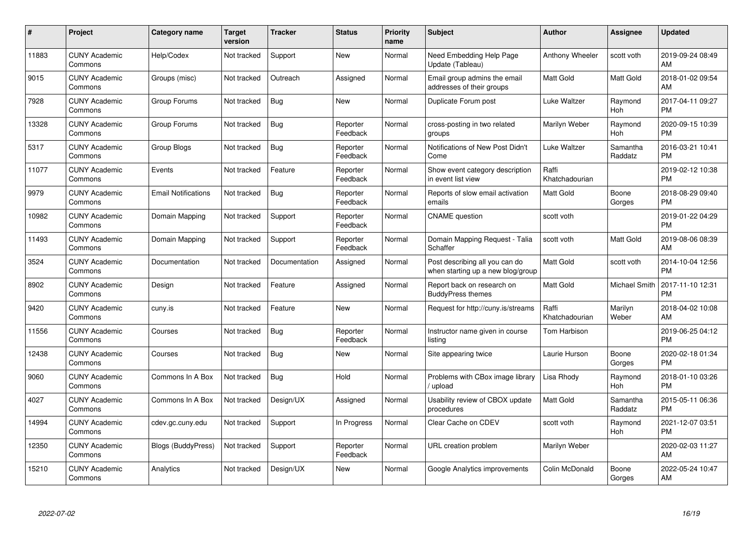| $\#$  | Project                         | <b>Category name</b>       | Target<br>version | <b>Tracker</b> | <b>Status</b>        | Priority<br>name | <b>Subject</b>                                                      | <b>Author</b>           | <b>Assignee</b>      | <b>Updated</b>                |
|-------|---------------------------------|----------------------------|-------------------|----------------|----------------------|------------------|---------------------------------------------------------------------|-------------------------|----------------------|-------------------------------|
| 11883 | <b>CUNY Academic</b><br>Commons | Help/Codex                 | Not tracked       | Support        | <b>New</b>           | Normal           | Need Embedding Help Page<br>Update (Tableau)                        | Anthony Wheeler         | scott voth           | 2019-09-24 08:49<br>AM        |
| 9015  | <b>CUNY Academic</b><br>Commons | Groups (misc)              | Not tracked       | Outreach       | Assigned             | Normal           | Email group admins the email<br>addresses of their groups           | <b>Matt Gold</b>        | Matt Gold            | 2018-01-02 09:54<br>AM        |
| 7928  | <b>CUNY Academic</b><br>Commons | Group Forums               | Not tracked       | <b>Bug</b>     | <b>New</b>           | Normal           | Duplicate Forum post                                                | Luke Waltzer            | Raymond<br>Hoh       | 2017-04-11 09:27<br><b>PM</b> |
| 13328 | <b>CUNY Academic</b><br>Commons | Group Forums               | Not tracked       | <b>Bug</b>     | Reporter<br>Feedback | Normal           | cross-posting in two related<br>groups                              | Marilyn Weber           | Raymond<br>Hoh       | 2020-09-15 10:39<br><b>PM</b> |
| 5317  | <b>CUNY Academic</b><br>Commons | Group Blogs                | Not tracked       | Bug            | Reporter<br>Feedback | Normal           | Notifications of New Post Didn't<br>Come                            | Luke Waltzer            | Samantha<br>Raddatz  | 2016-03-21 10:41<br><b>PM</b> |
| 11077 | <b>CUNY Academic</b><br>Commons | Events                     | Not tracked       | Feature        | Reporter<br>Feedback | Normal           | Show event category description<br>in event list view               | Raffi<br>Khatchadourian |                      | 2019-02-12 10:38<br><b>PM</b> |
| 9979  | <b>CUNY Academic</b><br>Commons | <b>Email Notifications</b> | Not tracked       | Bug            | Reporter<br>Feedback | Normal           | Reports of slow email activation<br>emails                          | Matt Gold               | Boone<br>Gorges      | 2018-08-29 09:40<br><b>PM</b> |
| 10982 | <b>CUNY Academic</b><br>Commons | Domain Mapping             | Not tracked       | Support        | Reporter<br>Feedback | Normal           | <b>CNAME</b> question                                               | scott voth              |                      | 2019-01-22 04:29<br><b>PM</b> |
| 11493 | <b>CUNY Academic</b><br>Commons | Domain Mapping             | Not tracked       | Support        | Reporter<br>Feedback | Normal           | Domain Mapping Request - Talia<br>Schaffer                          | scott voth              | Matt Gold            | 2019-08-06 08:39<br>AM        |
| 3524  | <b>CUNY Academic</b><br>Commons | Documentation              | Not tracked       | Documentation  | Assigned             | Normal           | Post describing all you can do<br>when starting up a new blog/group | <b>Matt Gold</b>        | scott voth           | 2014-10-04 12:56<br><b>PM</b> |
| 8902  | <b>CUNY Academic</b><br>Commons | Design                     | Not tracked       | Feature        | Assigned             | Normal           | Report back on research on<br><b>BuddyPress themes</b>              | Matt Gold               | <b>Michael Smith</b> | 2017-11-10 12:31<br><b>PM</b> |
| 9420  | <b>CUNY Academic</b><br>Commons | cuny.is                    | Not tracked       | Feature        | <b>New</b>           | Normal           | Request for http://cuny.is/streams                                  | Raffi<br>Khatchadourian | Marilyn<br>Weber     | 2018-04-02 10:08<br>AM        |
| 11556 | <b>CUNY Academic</b><br>Commons | Courses                    | Not tracked       | Bug            | Reporter<br>Feedback | Normal           | Instructor name given in course<br>listing                          | Tom Harbison            |                      | 2019-06-25 04:12<br><b>PM</b> |
| 12438 | <b>CUNY Academic</b><br>Commons | Courses                    | Not tracked       | <b>Bug</b>     | New                  | Normal           | Site appearing twice                                                | Laurie Hurson           | Boone<br>Gorges      | 2020-02-18 01:34<br><b>PM</b> |
| 9060  | <b>CUNY Academic</b><br>Commons | Commons In A Box           | Not tracked       | <b>Bug</b>     | Hold                 | Normal           | Problems with CBox image library<br>/ upload                        | Lisa Rhody              | Raymond<br>Hoh       | 2018-01-10 03:26<br><b>PM</b> |
| 4027  | <b>CUNY Academic</b><br>Commons | Commons In A Box           | Not tracked       | Design/UX      | Assigned             | Normal           | Usability review of CBOX update<br>procedures                       | <b>Matt Gold</b>        | Samantha<br>Raddatz  | 2015-05-11 06:36<br><b>PM</b> |
| 14994 | <b>CUNY Academic</b><br>Commons | cdev.gc.cuny.edu           | Not tracked       | Support        | In Progress          | Normal           | Clear Cache on CDEV                                                 | scott voth              | Raymond<br>Hoh       | 2021-12-07 03:51<br><b>PM</b> |
| 12350 | <b>CUNY Academic</b><br>Commons | <b>Blogs (BuddyPress)</b>  | Not tracked       | Support        | Reporter<br>Feedback | Normal           | URL creation problem                                                | Marilyn Weber           |                      | 2020-02-03 11:27<br>AM        |
| 15210 | CUNY Academic<br>Commons        | Analytics                  | Not tracked       | Design/UX      | <b>New</b>           | Normal           | Google Analytics improvements                                       | Colin McDonald          | Boone<br>Gorges      | 2022-05-24 10:47<br>AM        |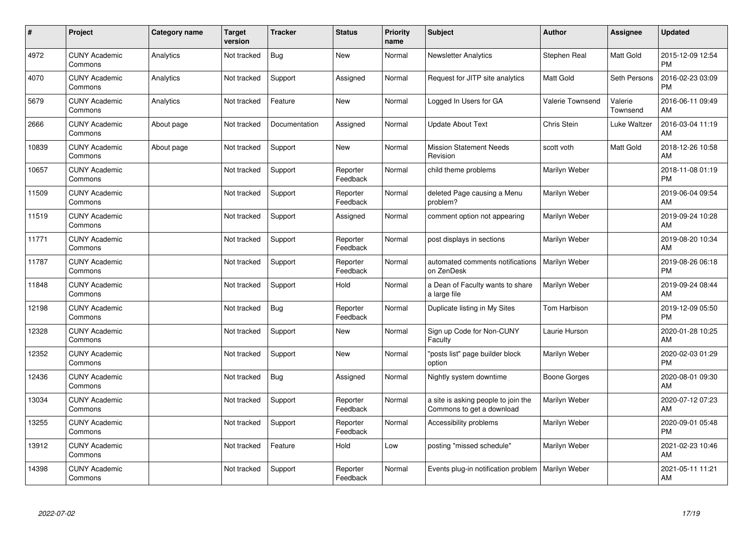| #     | Project                         | <b>Category name</b> | <b>Target</b><br>version | <b>Tracker</b> | <b>Status</b>        | <b>Priority</b><br>name | <b>Subject</b>                                                   | <b>Author</b>    | <b>Assignee</b>     | <b>Updated</b>                |
|-------|---------------------------------|----------------------|--------------------------|----------------|----------------------|-------------------------|------------------------------------------------------------------|------------------|---------------------|-------------------------------|
| 4972  | <b>CUNY Academic</b><br>Commons | Analytics            | Not tracked              | <b>Bug</b>     | <b>New</b>           | Normal                  | <b>Newsletter Analytics</b>                                      | Stephen Real     | Matt Gold           | 2015-12-09 12:54<br><b>PM</b> |
| 4070  | <b>CUNY Academic</b><br>Commons | Analytics            | Not tracked              | Support        | Assigned             | Normal                  | Request for JITP site analytics                                  | <b>Matt Gold</b> | Seth Persons        | 2016-02-23 03:09<br><b>PM</b> |
| 5679  | <b>CUNY Academic</b><br>Commons | Analytics            | Not tracked              | Feature        | <b>New</b>           | Normal                  | Logged In Users for GA                                           | Valerie Townsend | Valerie<br>Townsend | 2016-06-11 09:49<br>AM        |
| 2666  | <b>CUNY Academic</b><br>Commons | About page           | Not tracked              | Documentation  | Assigned             | Normal                  | <b>Update About Text</b>                                         | Chris Stein      | Luke Waltzer        | 2016-03-04 11:19<br>AM        |
| 10839 | <b>CUNY Academic</b><br>Commons | About page           | Not tracked              | Support        | <b>New</b>           | Normal                  | <b>Mission Statement Needs</b><br>Revision                       | scott voth       | Matt Gold           | 2018-12-26 10:58<br>AM        |
| 10657 | <b>CUNY Academic</b><br>Commons |                      | Not tracked              | Support        | Reporter<br>Feedback | Normal                  | child theme problems                                             | Marilyn Weber    |                     | 2018-11-08 01:19<br><b>PM</b> |
| 11509 | <b>CUNY Academic</b><br>Commons |                      | Not tracked              | Support        | Reporter<br>Feedback | Normal                  | deleted Page causing a Menu<br>problem?                          | Marilyn Weber    |                     | 2019-06-04 09:54<br>AM        |
| 11519 | <b>CUNY Academic</b><br>Commons |                      | Not tracked              | Support        | Assigned             | Normal                  | comment option not appearing                                     | Marilyn Weber    |                     | 2019-09-24 10:28<br>AM        |
| 11771 | <b>CUNY Academic</b><br>Commons |                      | Not tracked              | Support        | Reporter<br>Feedback | Normal                  | post displays in sections                                        | Marilyn Weber    |                     | 2019-08-20 10:34<br>AM        |
| 11787 | <b>CUNY Academic</b><br>Commons |                      | Not tracked              | Support        | Reporter<br>Feedback | Normal                  | automated comments notifications<br>on ZenDesk                   | Marilyn Weber    |                     | 2019-08-26 06:18<br><b>PM</b> |
| 11848 | <b>CUNY Academic</b><br>Commons |                      | Not tracked              | Support        | Hold                 | Normal                  | a Dean of Faculty wants to share<br>a large file                 | Marilyn Weber    |                     | 2019-09-24 08:44<br>AM        |
| 12198 | <b>CUNY Academic</b><br>Commons |                      | Not tracked              | Bug            | Reporter<br>Feedback | Normal                  | Duplicate listing in My Sites                                    | Tom Harbison     |                     | 2019-12-09 05:50<br><b>PM</b> |
| 12328 | <b>CUNY Academic</b><br>Commons |                      | Not tracked              | Support        | New                  | Normal                  | Sign up Code for Non-CUNY<br>Faculty                             | Laurie Hurson    |                     | 2020-01-28 10:25<br>AM        |
| 12352 | <b>CUNY Academic</b><br>Commons |                      | Not tracked              | Support        | New                  | Normal                  | "posts list" page builder block<br>option                        | Marilyn Weber    |                     | 2020-02-03 01:29<br><b>PM</b> |
| 12436 | <b>CUNY Academic</b><br>Commons |                      | Not tracked              | Bug            | Assigned             | Normal                  | Nightly system downtime                                          | Boone Gorges     |                     | 2020-08-01 09:30<br>AM        |
| 13034 | <b>CUNY Academic</b><br>Commons |                      | Not tracked              | Support        | Reporter<br>Feedback | Normal                  | a site is asking people to join the<br>Commons to get a download | Marilyn Weber    |                     | 2020-07-12 07:23<br>AM        |
| 13255 | <b>CUNY Academic</b><br>Commons |                      | Not tracked              | Support        | Reporter<br>Feedback | Normal                  | Accessibility problems                                           | Marilyn Weber    |                     | 2020-09-01 05:48<br><b>PM</b> |
| 13912 | <b>CUNY Academic</b><br>Commons |                      | Not tracked              | Feature        | Hold                 | Low                     | posting "missed schedule"                                        | Marilyn Weber    |                     | 2021-02-23 10:46<br>AM        |
| 14398 | <b>CUNY Academic</b><br>Commons |                      | Not tracked              | Support        | Reporter<br>Feedback | Normal                  | Events plug-in notification problem                              | Marilyn Weber    |                     | 2021-05-11 11:21<br>AM        |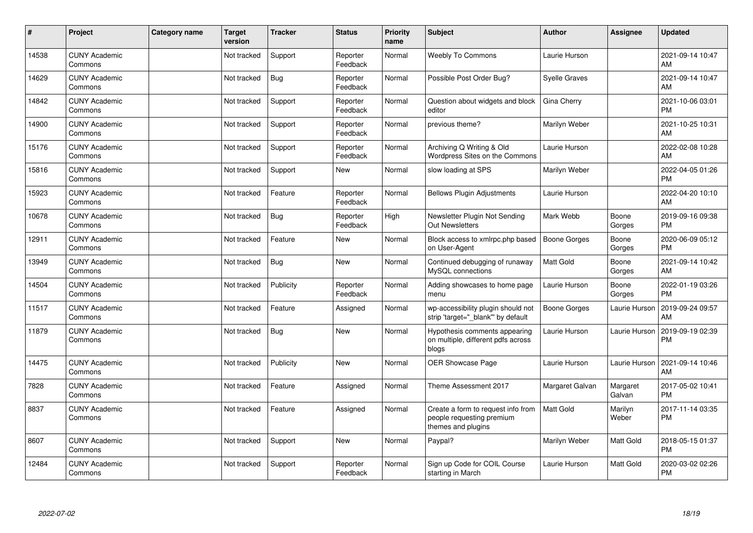| ∦     | Project                         | Category name | <b>Target</b><br>version | <b>Tracker</b> | <b>Status</b>        | <b>Priority</b><br>name | <b>Subject</b>                                                                        | <b>Author</b>        | <b>Assignee</b>    | <b>Updated</b>                |
|-------|---------------------------------|---------------|--------------------------|----------------|----------------------|-------------------------|---------------------------------------------------------------------------------------|----------------------|--------------------|-------------------------------|
| 14538 | <b>CUNY Academic</b><br>Commons |               | Not tracked              | Support        | Reporter<br>Feedback | Normal                  | <b>Weebly To Commons</b>                                                              | Laurie Hurson        |                    | 2021-09-14 10:47<br>AM        |
| 14629 | <b>CUNY Academic</b><br>Commons |               | Not tracked              | Bug            | Reporter<br>Feedback | Normal                  | Possible Post Order Bug?                                                              | <b>Syelle Graves</b> |                    | 2021-09-14 10:47<br>AM        |
| 14842 | <b>CUNY Academic</b><br>Commons |               | Not tracked              | Support        | Reporter<br>Feedback | Normal                  | Question about widgets and block<br>editor                                            | Gina Cherry          |                    | 2021-10-06 03:01<br><b>PM</b> |
| 14900 | <b>CUNY Academic</b><br>Commons |               | Not tracked              | Support        | Reporter<br>Feedback | Normal                  | previous theme?                                                                       | Marilyn Weber        |                    | 2021-10-25 10:31<br>AM        |
| 15176 | <b>CUNY Academic</b><br>Commons |               | Not tracked              | Support        | Reporter<br>Feedback | Normal                  | Archiving Q Writing & Old<br>Wordpress Sites on the Commons                           | Laurie Hurson        |                    | 2022-02-08 10:28<br>AM        |
| 15816 | <b>CUNY Academic</b><br>Commons |               | Not tracked              | Support        | <b>New</b>           | Normal                  | slow loading at SPS                                                                   | Marilyn Weber        |                    | 2022-04-05 01:26<br><b>PM</b> |
| 15923 | <b>CUNY Academic</b><br>Commons |               | Not tracked              | Feature        | Reporter<br>Feedback | Normal                  | <b>Bellows Plugin Adjustments</b>                                                     | Laurie Hurson        |                    | 2022-04-20 10:10<br>AM        |
| 10678 | <b>CUNY Academic</b><br>Commons |               | Not tracked              | Bug            | Reporter<br>Feedback | High                    | Newsletter Plugin Not Sending<br><b>Out Newsletters</b>                               | Mark Webb            | Boone<br>Gorges    | 2019-09-16 09:38<br><b>PM</b> |
| 12911 | <b>CUNY Academic</b><br>Commons |               | Not tracked              | Feature        | <b>New</b>           | Normal                  | Block access to xmlrpc.php based<br>on User-Agent                                     | <b>Boone Gorges</b>  | Boone<br>Gorges    | 2020-06-09 05:12<br><b>PM</b> |
| 13949 | <b>CUNY Academic</b><br>Commons |               | Not tracked              | Bug            | <b>New</b>           | Normal                  | Continued debugging of runaway<br>MySQL connections                                   | Matt Gold            | Boone<br>Gorges    | 2021-09-14 10:42<br>AM        |
| 14504 | <b>CUNY Academic</b><br>Commons |               | Not tracked              | Publicity      | Reporter<br>Feedback | Normal                  | Adding showcases to home page<br>menu                                                 | Laurie Hurson        | Boone<br>Gorges    | 2022-01-19 03:26<br><b>PM</b> |
| 11517 | <b>CUNY Academic</b><br>Commons |               | Not tracked              | Feature        | Assigned             | Normal                  | wp-accessibility plugin should not<br>strip 'target="_blank"' by default              | Boone Gorges         | Laurie Hurson      | 2019-09-24 09:57<br>AM        |
| 11879 | <b>CUNY Academic</b><br>Commons |               | Not tracked              | Bug            | New                  | Normal                  | Hypothesis comments appearing<br>on multiple, different pdfs across<br>blogs          | Laurie Hurson        | Laurie Hurson      | 2019-09-19 02:39<br><b>PM</b> |
| 14475 | <b>CUNY Academic</b><br>Commons |               | Not tracked              | Publicity      | <b>New</b>           | Normal                  | <b>OER Showcase Page</b>                                                              | Laurie Hurson        | Laurie Hurson      | 2021-09-14 10:46<br>AM        |
| 7828  | <b>CUNY Academic</b><br>Commons |               | Not tracked              | Feature        | Assigned             | Normal                  | Theme Assessment 2017                                                                 | Margaret Galvan      | Margaret<br>Galvan | 2017-05-02 10:41<br><b>PM</b> |
| 8837  | <b>CUNY Academic</b><br>Commons |               | Not tracked              | Feature        | Assigned             | Normal                  | Create a form to request info from<br>people requesting premium<br>themes and plugins | <b>Matt Gold</b>     | Marilyn<br>Weber   | 2017-11-14 03:35<br><b>PM</b> |
| 8607  | <b>CUNY Academic</b><br>Commons |               | Not tracked              | Support        | New                  | Normal                  | Paypal?                                                                               | Marilyn Weber        | Matt Gold          | 2018-05-15 01:37<br><b>PM</b> |
| 12484 | <b>CUNY Academic</b><br>Commons |               | Not tracked              | Support        | Reporter<br>Feedback | Normal                  | Sign up Code for COIL Course<br>starting in March                                     | Laurie Hurson        | Matt Gold          | 2020-03-02 02:26<br><b>PM</b> |